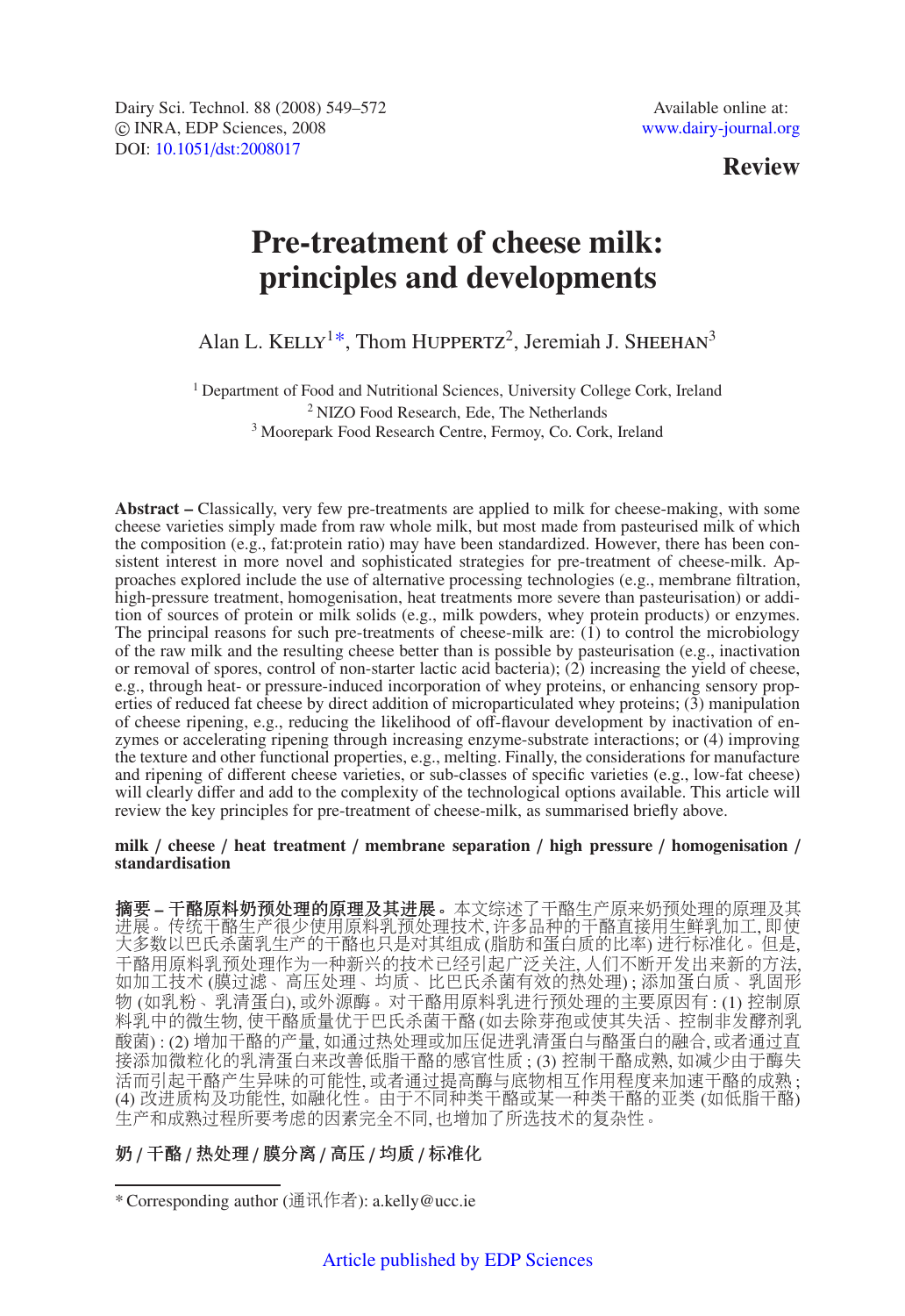Dairy Sci. Technol. 88 (2008) 549–572 Available online at: -c INRA, EDP Sciences, 2008 [www.dairy-journal.org](http://www.dairy-journal.org) DOI: 10.1051/[dst:2008017](http://dx.doi.org/10.1051/dst:2008017)

# **Review**

# **Pre-treatment of cheese milk: principles and developments**

Alan L. KELLY<sup>1\*</sup>, Thom HUPPERTZ<sup>2</sup>, Jeremiah J. SHEEHAN<sup>3</sup>

<sup>1</sup> Department of Food and Nutritional Sciences, University College Cork, Ireland <sup>2</sup> NIZO Food Research, Ede, The Netherlands <sup>3</sup> Moorepark Food Research Centre, Fermoy, Co. Cork, Ireland

**Abstract –** Classically, very few pre-treatments are applied to milk for cheese-making, with some cheese varieties simply made from raw whole milk, but most made from pasteurised milk of which the composition (e.g., fat:protein ratio) may have been standardized. However, there has been consistent interest in more novel and sophisticated strategies for pre-treatment of cheese-milk. Approaches explored include the use of alternative processing technologies (e.g., membrane filtration, high-pressure treatment, homogenisation, heat treatments more severe than pasteurisation) or addition of sources of protein or milk solids (e.g., milk powders, whey protein products) or enzymes. The principal reasons for such pre-treatments of cheese-milk are: (1) to control the microbiology of the raw milk and the resulting cheese better than is possible by pasteurisation (e.g., inactivation or removal of spores, control of non-starter lactic acid bacteria); (2) increasing the yield of cheese, e.g., through heat- or pressure-induced incorporation of whey proteins, or enhancing sensory properties of reduced fat cheese by direct addition of microparticulated whey proteins; (3) manipulation of cheese ripening, e.g., reducing the likelihood of off-flavour development by inactivation of enzymes or accelerating ripening through increasing enzyme-substrate interactions; or (4) improving the texture and other functional properties, e.g., melting. Finally, the considerations for manufacture and ripening of different cheese varieties, or sub-classes of specific varieties (e.g., low-fat cheese) will clearly differ and add to the complexity of the technological options available. This article will review the key principles for pre-treatment of cheese-milk, as summarised briefly above.

#### **milk** / **cheese** / **heat treatment** / **membrane separation** / **high pressure** / **homogenisation** / **standardisation**

摘要 **–** 干酪原料奶预处理的原理及其进展。本文综述了干酪生产原来奶预处理的原理及其 进展。传统干酪生产很少使用原料乳预处理技术, 许多品种的干酪直接用生鲜乳加工, 即使 大多数以巴氏杀菌乳生产的干酪也只是对其组成 (脂肪和蛋白质的比率) 进行标准化。但是, 干酪用原料乳预处理作为一种新兴的技术已经引起广泛关注, 人们不断开发出来新的方法, 如加工技术 (膜过滤、高压处理、均质、比巴氏杀菌有效的热处理) ; 添加蛋白质、乳固形 物 (如乳粉、乳清蛋白), 或外源酶。对干酪用原料乳进行预处理的主要原因有 : (1) 控制原 料乳中的微生物, 使干酪质量优于巴氏杀菌干酪 (如去除芽孢或使其失活、控制非发酵剂乳 酸菌) : (2) 增加干酪的产量, 如通过热处理或加压促进乳清蛋白与酪蛋白的融合,或者通过直 接添加微粒化的乳清蛋白来改善低脂干酪的感官性质 ; (3) 控制干酪成熟, 如减少由于酶失 活而引起干酪产生异味的可能性, 或者通过提高酶与底物相互作用程度来加速干酪的成熟; (4) 改进质构及功能性, 如融化性。由于不同种类干酪或某一种类干酪的亚类 (如低脂干酪) 生产和成熟过程所要考虑的因素完全不同, 也增加了所选技术的复杂性。

# 奶 / 干酪 / 热处理 / 膜分离 / 高压 / 均质 / 标准化

<sup>\*</sup> Corresponding author (通讯作者): a.kelly@ucc.ie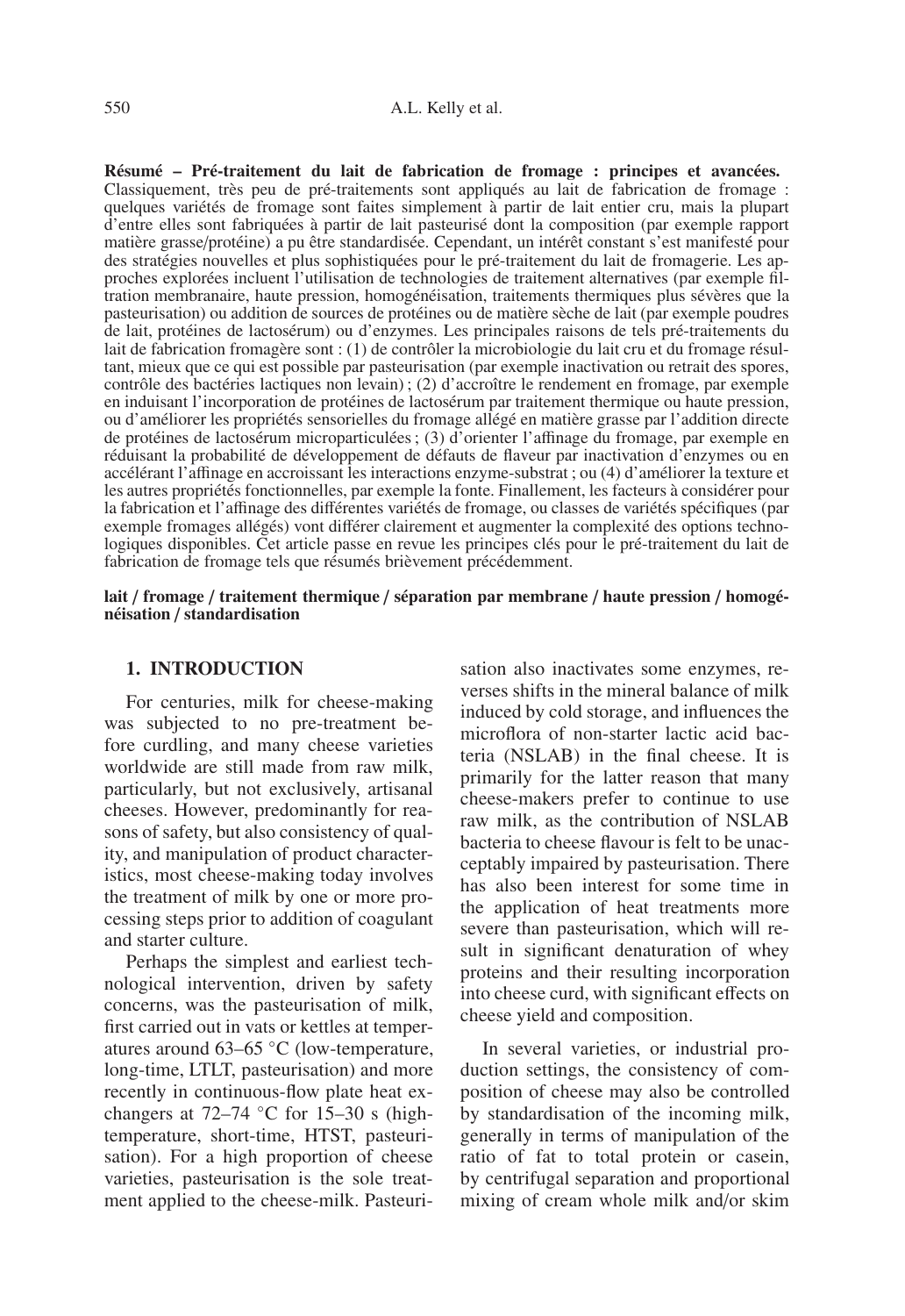**Résumé – Pré-traitement du lait de fabrication de fromage : principes et avancées.** Classiquement, très peu de pré-traitements sont appliqués au lait de fabrication de fromage : quelques variétés de fromage sont faites simplement à partir de lait entier cru, mais la plupart d'entre elles sont fabriquées à partir de lait pasteurisé dont la composition (par exemple rapport matière grasse/protéine) a pu être standardisée. Cependant, un intérêt constant s'est manifesté pour des stratégies nouvelles et plus sophistiquées pour le pré-traitement du lait de fromagerie. Les approches explorées incluent l'utilisation de technologies de traitement alternatives (par exemple filtration membranaire, haute pression, homogénéisation, traitements thermiques plus sévères que la pasteurisation) ou addition de sources de protéines ou de matière sèche de lait (par exemple poudres de lait, protéines de lactosérum) ou d'enzymes. Les principales raisons de tels pré-traitements du lait de fabrication fromagère sont : (1) de contrôler la microbiologie du lait cru et du fromage résultant, mieux que ce qui est possible par pasteurisation (par exemple inactivation ou retrait des spores, contrôle des bactéries lactiques non levain) ; (2) d'accroître le rendement en fromage, par exemple en induisant l'incorporation de protéines de lactosérum par traitement thermique ou haute pression, ou d'améliorer les propriétés sensorielles du fromage allégé en matière grasse par l'addition directe de protéines de lactosérum microparticulées ; (3) d'orienter l'affinage du fromage, par exemple en réduisant la probabilité de développement de défauts de flaveur par inactivation d'enzymes ou en accélérant l'affinage en accroissant les interactions enzyme-substrat ; ou (4) d'améliorer la texture et les autres propriétés fonctionnelles, par exemple la fonte. Finallement, les facteurs à considérer pour la fabrication et l'affinage des différentes variétés de fromage, ou classes de variétés spécifiques (par exemple fromages allégés) vont différer clairement et augmenter la complexité des options technologiques disponibles. Cet article passe en revue les principes clés pour le pré-traitement du lait de fabrication de fromage tels que résumés brièvement précédemment.

#### **lait** / **fromage** / **traitement thermique** / **séparation par membrane** / **haute pression** / **homogénéisation** / **standardisation**

#### **1. INTRODUCTION**

For centuries, milk for cheese-making was subjected to no pre-treatment before curdling, and many cheese varieties worldwide are still made from raw milk, particularly, but not exclusively, artisanal cheeses. However, predominantly for reasons of safety, but also consistency of quality, and manipulation of product characteristics, most cheese-making today involves the treatment of milk by one or more processing steps prior to addition of coagulant and starter culture.

Perhaps the simplest and earliest technological intervention, driven by safety concerns, was the pasteurisation of milk, first carried out in vats or kettles at temperatures around 63–65 ◦C (low-temperature, long-time, LTLT, pasteurisation) and more recently in continuous-flow plate heat exchangers at  $72-74$  °C for 15-30 s (hightemperature, short-time, HTST, pasteurisation). For a high proportion of cheese varieties, pasteurisation is the sole treatment applied to the cheese-milk. Pasteurisation also inactivates some enzymes, reverses shifts in the mineral balance of milk induced by cold storage, and influences the microflora of non-starter lactic acid bacteria (NSLAB) in the final cheese. It is primarily for the latter reason that many cheese-makers prefer to continue to use raw milk, as the contribution of NSLAB bacteria to cheese flavour is felt to be unacceptably impaired by pasteurisation. There has also been interest for some time in the application of heat treatments more severe than pasteurisation, which will result in significant denaturation of whey proteins and their resulting incorporation into cheese curd, with significant effects on cheese yield and composition.

In several varieties, or industrial production settings, the consistency of composition of cheese may also be controlled by standardisation of the incoming milk, generally in terms of manipulation of the ratio of fat to total protein or casein, by centrifugal separation and proportional mixing of cream whole milk and/or skim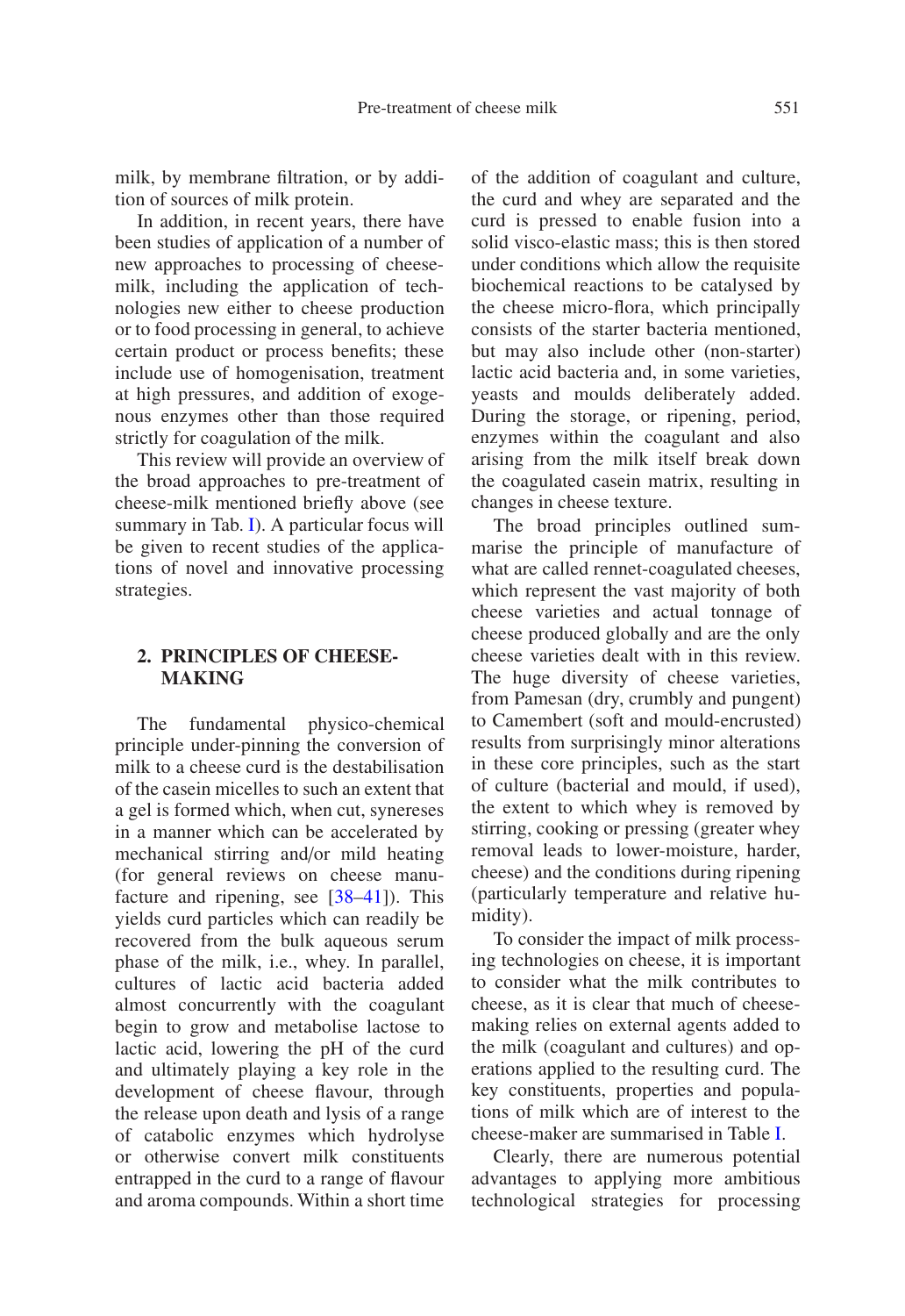milk, by membrane filtration, or by addition of sources of milk protein.

In addition, in recent years, there have been studies of application of a number of new approaches to processing of cheesemilk, including the application of technologies new either to cheese production or to food processing in general, to achieve certain product or process benefits; these include use of homogenisation, treatment at high pressures, and addition of exogenous enzymes other than those required strictly for coagulation of the milk.

This review will provide an overview of the broad approaches to pre-treatment of cheese-milk mentioned briefly above (see summary in Tab. [I\)](#page-3-0). A particular focus will be given to recent studies of the applications of novel and innovative processing strategies.

#### **2. PRINCIPLES OF CHEESE-MAKING**

The fundamental physico-chemical principle under-pinning the conversion of milk to a cheese curd is the destabilisation of the casein micelles to such an extent that a gel is formed which, when cut, synereses in a manner which can be accelerated by mechanical stirring and/or mild heating (for general reviews on cheese manufacture and ripening, see [\[38](#page-18-0)[–41\]](#page-18-1)). This yields curd particles which can readily be recovered from the bulk aqueous serum phase of the milk, i.e., whey. In parallel, cultures of lactic acid bacteria added almost concurrently with the coagulant begin to grow and metabolise lactose to lactic acid, lowering the pH of the curd and ultimately playing a key role in the development of cheese flavour, through the release upon death and lysis of a range of catabolic enzymes which hydrolyse or otherwise convert milk constituents entrapped in the curd to a range of flavour and aroma compounds. Within a short time of the addition of coagulant and culture, the curd and whey are separated and the curd is pressed to enable fusion into a solid visco-elastic mass; this is then stored under conditions which allow the requisite biochemical reactions to be catalysed by the cheese micro-flora, which principally consists of the starter bacteria mentioned, but may also include other (non-starter) lactic acid bacteria and, in some varieties, yeasts and moulds deliberately added. During the storage, or ripening, period, enzymes within the coagulant and also arising from the milk itself break down the coagulated casein matrix, resulting in changes in cheese texture.

The broad principles outlined summarise the principle of manufacture of what are called rennet-coagulated cheeses, which represent the vast majority of both cheese varieties and actual tonnage of cheese produced globally and are the only cheese varieties dealt with in this review. The huge diversity of cheese varieties, from Pamesan (dry, crumbly and pungent) to Camembert (soft and mould-encrusted) results from surprisingly minor alterations in these core principles, such as the start of culture (bacterial and mould, if used), the extent to which whey is removed by stirring, cooking or pressing (greater whey removal leads to lower-moisture, harder, cheese) and the conditions during ripening (particularly temperature and relative humidity).

To consider the impact of milk processing technologies on cheese, it is important to consider what the milk contributes to cheese, as it is clear that much of cheesemaking relies on external agents added to the milk (coagulant and cultures) and operations applied to the resulting curd. The key constituents, properties and populations of milk which are of interest to the cheese-maker are summarised in Table [I.](#page-3-0)

Clearly, there are numerous potential advantages to applying more ambitious technological strategies for processing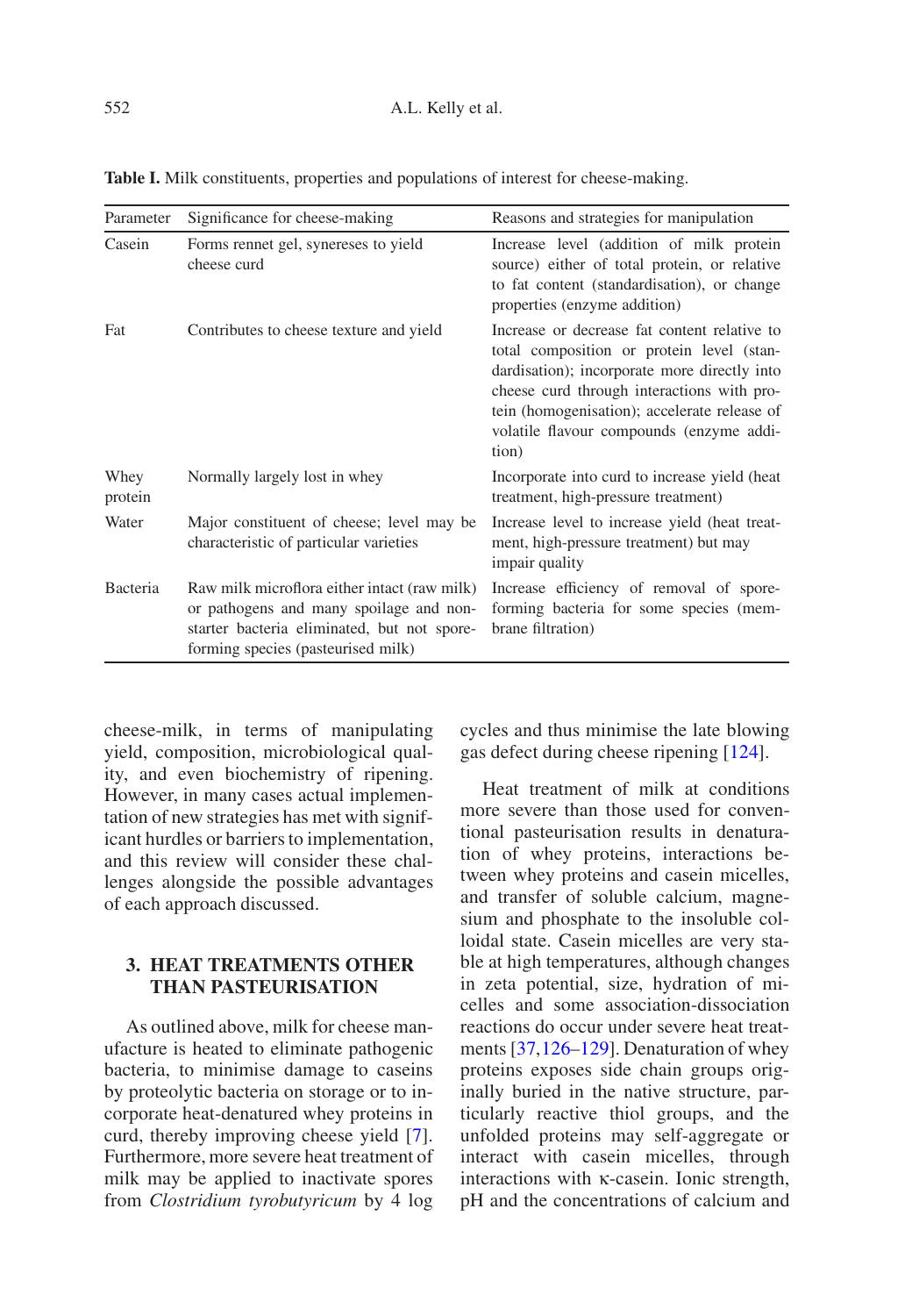| Parameter       | Significance for cheese-making                                                                                                                                               | Reasons and strategies for manipulation                                                                                                                                                                                                                                                      |
|-----------------|------------------------------------------------------------------------------------------------------------------------------------------------------------------------------|----------------------------------------------------------------------------------------------------------------------------------------------------------------------------------------------------------------------------------------------------------------------------------------------|
| Casein          | Forms rennet gel, synereses to yield<br>cheese curd                                                                                                                          | Increase level (addition of milk protein<br>source) either of total protein, or relative<br>to fat content (standardisation), or change<br>properties (enzyme addition)                                                                                                                      |
| Fat             | Contributes to cheese texture and yield                                                                                                                                      | Increase or decrease fat content relative to<br>total composition or protein level (stan-<br>dardisation); incorporate more directly into<br>cheese curd through interactions with pro-<br>tein (homogenisation); accelerate release of<br>volatile flavour compounds (enzyme addi-<br>tion) |
| Whey<br>protein | Normally largely lost in whey                                                                                                                                                | Incorporate into curd to increase yield (heat)<br>treatment, high-pressure treatment)                                                                                                                                                                                                        |
| Water           | Major constituent of cheese; level may be<br>characteristic of particular varieties                                                                                          | Increase level to increase yield (heat treat-<br>ment, high-pressure treatment) but may<br>impair quality                                                                                                                                                                                    |
| Bacteria        | Raw milk microflora either intact (raw milk)<br>or pathogens and many spoilage and non-<br>starter bacteria eliminated, but not spore-<br>forming species (pasteurised milk) | Increase efficiency of removal of spore-<br>forming bacteria for some species (mem-<br>brane filtration)                                                                                                                                                                                     |

<span id="page-3-0"></span>**Table I.** Milk constituents, properties and populations of interest for cheese-making.

cheese-milk, in terms of manipulating yield, composition, microbiological quality, and even biochemistry of ripening. However, in many cases actual implementation of new strategies has met with significant hurdles or barriers to implementation, and this review will consider these challenges alongside the possible advantages of each approach discussed.

## **3. HEAT TREATMENTS OTHER THAN PASTEURISATION**

As outlined above, milk for cheese manufacture is heated to eliminate pathogenic bacteria, to minimise damage to caseins by proteolytic bacteria on storage or to incorporate heat-denatured whey proteins in curd, thereby improving cheese yield [\[7](#page-17-0)]. Furthermore, more severe heat treatment of milk may be applied to inactivate spores from *Clostridium tyrobutyricum* by 4 log cycles and thus minimise the late blowing gas defect during cheese ripening [\[124](#page-22-0)].

Heat treatment of milk at conditions more severe than those used for conventional pasteurisation results in denaturation of whey proteins, interactions between whey proteins and casein micelles, and transfer of soluble calcium, magnesium and phosphate to the insoluble colloidal state. Casein micelles are very stable at high temperatures, although changes in zeta potential, size, hydration of micelles and some association-dissociation reactions do occur under severe heat treatments [\[37](#page-18-2)[,126](#page-22-1)[–129\]](#page-22-2). Denaturation of whey proteins exposes side chain groups originally buried in the native structure, particularly reactive thiol groups, and the unfolded proteins may self-aggregate or interact with casein micelles, through interactions with κ-casein. Ionic strength, pH and the concentrations of calcium and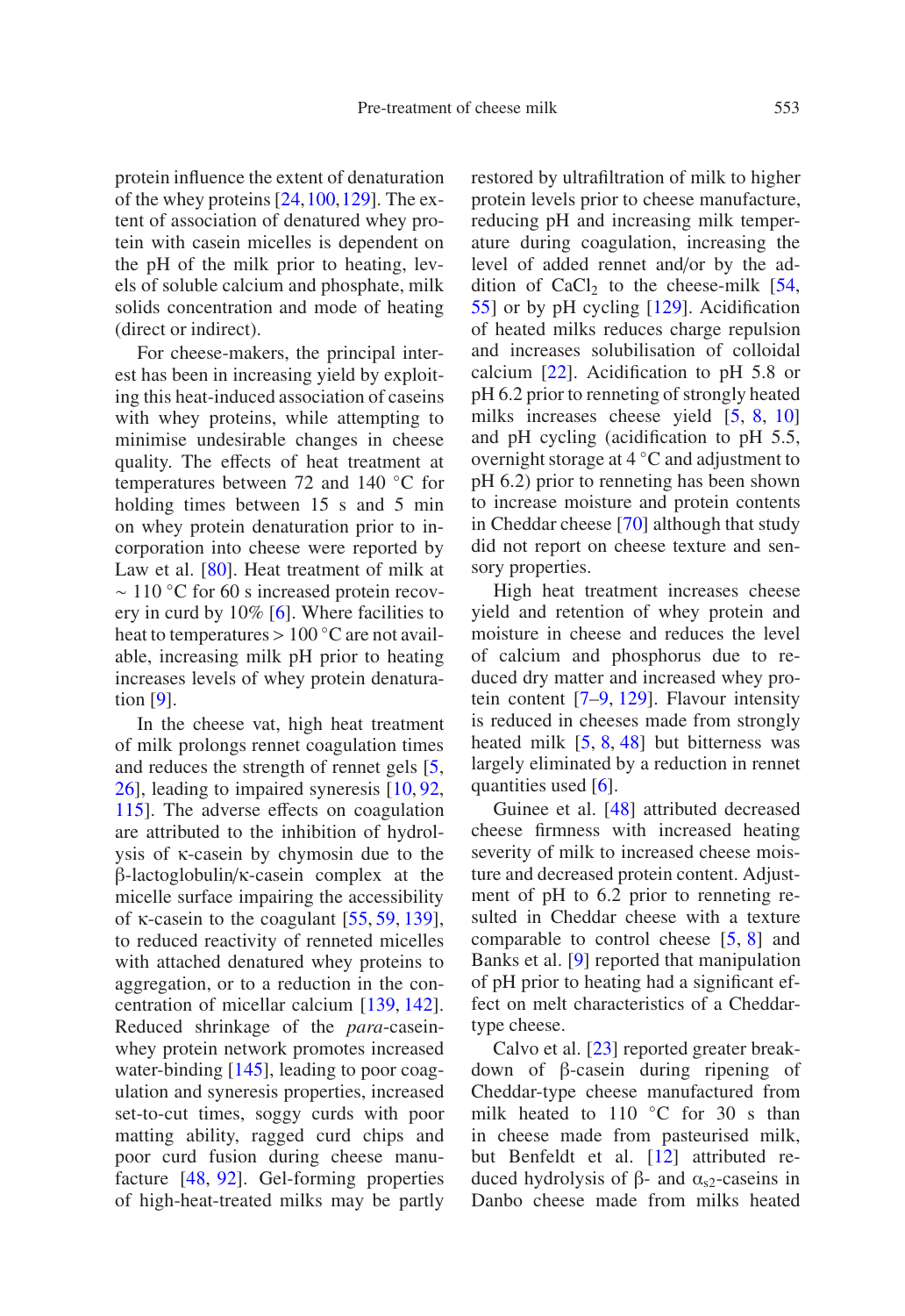protein influence the extent of denaturation of the whey proteins [\[24](#page-17-1),[100,](#page-21-0)[129\]](#page-22-2). The extent of association of denatured whey protein with casein micelles is dependent on the pH of the milk prior to heating, levels of soluble calcium and phosphate, milk solids concentration and mode of heating (direct or indirect).

For cheese-makers, the principal interest has been in increasing yield by exploiting this heat-induced association of caseins with whey proteins, while attempting to minimise undesirable changes in cheese quality. The effects of heat treatment at temperatures between 72 and 140 ◦C for holding times between 15 s and 5 min on whey protein denaturation prior to incorporation into cheese were reported by Law et al. [\[80](#page-20-0)]. Heat treatment of milk at ∼ 110 ◦C for 60 s increased protein recovery in curd by 10% [\[6](#page-17-2)]. Where facilities to heat to temperatures >  $100\degree$ C are not available, increasing milk pH prior to heating increases levels of whey protein denaturation [\[9\]](#page-17-3).

In the cheese vat, high heat treatment of milk prolongs rennet coagulation times and reduces the strength of rennet gels [\[5](#page-17-4), [26\]](#page-18-3), leading to impaired syneresis [\[10,](#page-17-5) [92](#page-21-1), [115\]](#page-22-3). The adverse effects on coagulation are attributed to the inhibition of hydrolysis of κ-casein by chymosin due to the β-lactoglobulin/κ-casein complex at the micelle surface impairing the accessibility of κ-casein to the coagulant [\[55](#page-19-0), [59,](#page-19-1) [139\]](#page-22-4), to reduced reactivity of renneted micelles with attached denatured whey proteins to aggregation, or to a reduction in the concentration of micellar calcium [\[139,](#page-22-4) [142\]](#page-23-0). Reduced shrinkage of the *para*-caseinwhey protein network promotes increased water-binding [\[145\]](#page-23-1), leading to poor coagulation and syneresis properties, increased set-to-cut times, soggy curds with poor matting ability, ragged curd chips and poor curd fusion during cheese manufacture [\[48](#page-19-2), [92](#page-21-1)]. Gel-forming properties of high-heat-treated milks may be partly restored by ultrafiltration of milk to higher protein levels prior to cheese manufacture, reducing pH and increasing milk temperature during coagulation, increasing the level of added rennet and/or by the addition of CaCl<sub>2</sub> to the cheese-milk  $[54, 54]$  $[54, 54]$ [55\]](#page-19-0) or by pH cycling [\[129\]](#page-22-2). Acidification of heated milks reduces charge repulsion and increases solubilisation of colloidal calcium [\[22](#page-17-6)]. Acidification to pH 5.8 or pH 6.2 prior to renneting of strongly heated milks increases cheese yield [\[5,](#page-17-4) [8](#page-17-7), [10\]](#page-17-5) and pH cycling (acidification to pH 5.5, overnight storage at 4 ◦C and adjustment to pH 6.2) prior to renneting has been shown to increase moisture and protein contents in Cheddar cheese [\[70](#page-20-1)] although that study did not report on cheese texture and sensory properties.

High heat treatment increases cheese yield and retention of whey protein and moisture in cheese and reduces the level of calcium and phosphorus due to reduced dry matter and increased whey protein content [\[7](#page-17-0)[–9,](#page-17-3) [129\]](#page-22-2). Flavour intensity is reduced in cheeses made from strongly heated milk [\[5,](#page-17-4) [8,](#page-17-7) [48\]](#page-19-2) but bitterness was largely eliminated by a reduction in rennet quantities used [\[6](#page-17-2)].

Guinee et al. [\[48\]](#page-19-2) attributed decreased cheese firmness with increased heating severity of milk to increased cheese moisture and decreased protein content. Adjustment of pH to 6.2 prior to renneting resulted in Cheddar cheese with a texture comparable to control cheese [\[5,](#page-17-4) [8](#page-17-7)] and Banks et al. [\[9\]](#page-17-3) reported that manipulation of pH prior to heating had a significant effect on melt characteristics of a Cheddartype cheese.

Calvo et al. [\[23\]](#page-17-8) reported greater breakdown of β-casein during ripening of Cheddar-type cheese manufactured from milk heated to 110  $°C$  for 30 s than in cheese made from pasteurised milk, but Benfeldt et al. [\[12\]](#page-17-9) attributed reduced hydrolysis of β- and  $α<sub>s2</sub>$ -caseins in Danbo cheese made from milks heated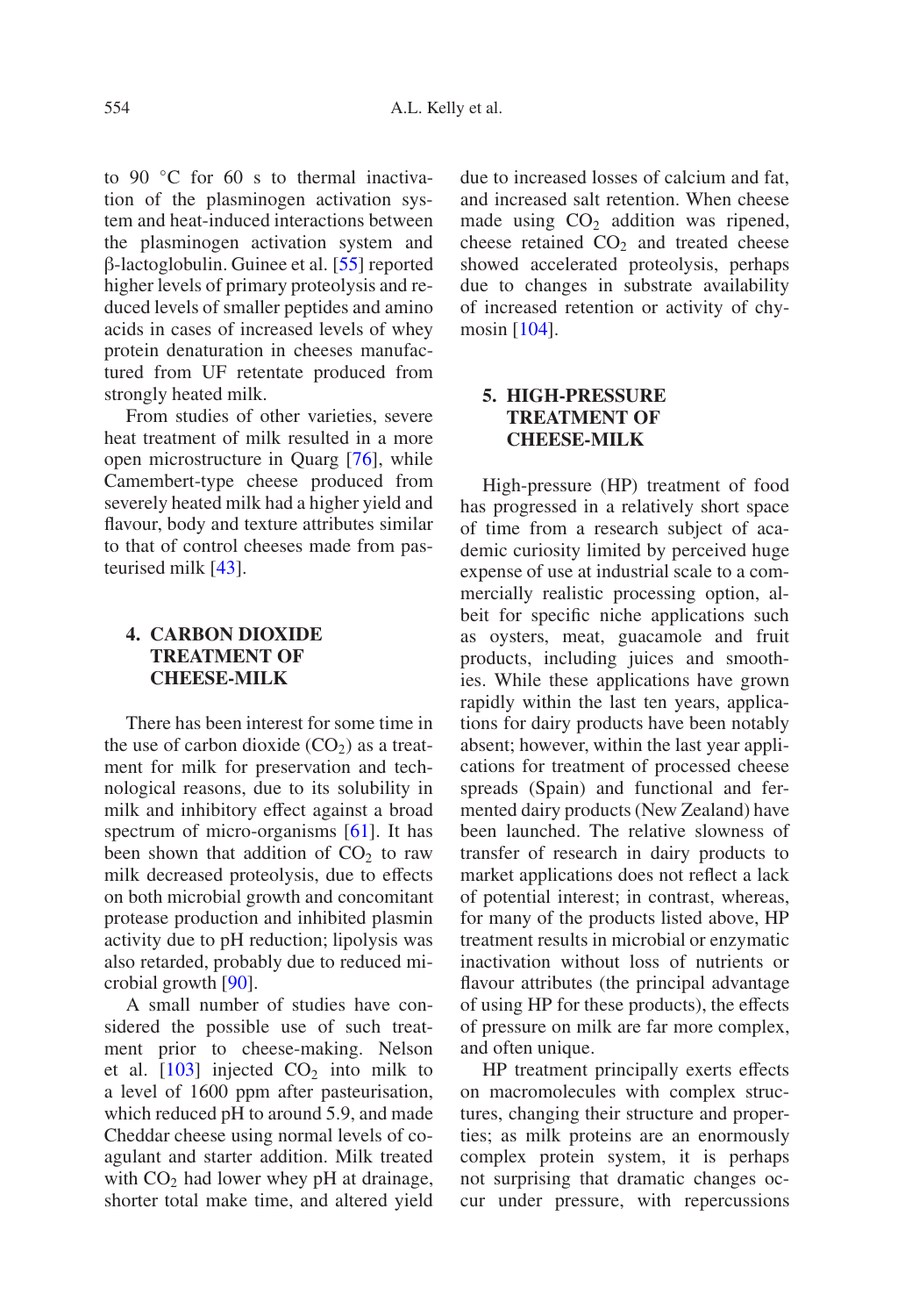to 90 ◦C for 60 s to thermal inactivation of the plasminogen activation system and heat-induced interactions between the plasminogen activation system and β-lactoglobulin. Guinee et al. [\[55](#page-19-0)] reported higher levels of primary proteolysis and reduced levels of smaller peptides and amino acids in cases of increased levels of whey protein denaturation in cheeses manufactured from UF retentate produced from strongly heated milk.

From studies of other varieties, severe heat treatment of milk resulted in a more open microstructure in Quarg [\[76](#page-20-2)], while Camembert-type cheese produced from severely heated milk had a higher yield and flavour, body and texture attributes similar to that of control cheeses made from pasteurised milk [\[43\]](#page-18-4).

### **4. CARBON DIOXIDE TREATMENT OF CHEESE-MILK**

There has been interest for some time in the use of carbon dioxide  $(CO<sub>2</sub>)$  as a treatment for milk for preservation and technological reasons, due to its solubility in milk and inhibitory effect against a broad spectrum of micro-organisms [\[61\]](#page-19-4). It has been shown that addition of  $CO<sub>2</sub>$  to raw milk decreased proteolysis, due to effects on both microbial growth and concomitant protease production and inhibited plasmin activity due to pH reduction; lipolysis was also retarded, probably due to reduced microbial growth [\[90\]](#page-20-3).

A small number of studies have considered the possible use of such treatment prior to cheese-making. Nelson et al.  $[103]$  injected  $CO<sub>2</sub>$  into milk to a level of 1600 ppm after pasteurisation, which reduced pH to around 5.9, and made Cheddar cheese using normal levels of coagulant and starter addition. Milk treated with  $CO<sub>2</sub>$  had lower whey pH at drainage, shorter total make time, and altered yield due to increased losses of calcium and fat, and increased salt retention. When cheese made using  $CO<sub>2</sub>$  addition was ripened, cheese retained  $CO<sub>2</sub>$  and treated cheese showed accelerated proteolysis, perhaps due to changes in substrate availability of increased retention or activity of chymosin [\[104](#page-21-3)].

## **5. HIGH-PRESSURE TREATMENT OF CHEESE-MILK**

High-pressure (HP) treatment of food has progressed in a relatively short space of time from a research subject of academic curiosity limited by perceived huge expense of use at industrial scale to a commercially realistic processing option, albeit for specific niche applications such as oysters, meat, guacamole and fruit products, including juices and smoothies. While these applications have grown rapidly within the last ten years, applications for dairy products have been notably absent; however, within the last year applications for treatment of processed cheese spreads (Spain) and functional and fermented dairy products (New Zealand) have been launched. The relative slowness of transfer of research in dairy products to market applications does not reflect a lack of potential interest; in contrast, whereas, for many of the products listed above, HP treatment results in microbial or enzymatic inactivation without loss of nutrients or flavour attributes (the principal advantage of using HP for these products), the effects of pressure on milk are far more complex, and often unique.

HP treatment principally exerts effects on macromolecules with complex structures, changing their structure and properties; as milk proteins are an enormously complex protein system, it is perhaps not surprising that dramatic changes occur under pressure, with repercussions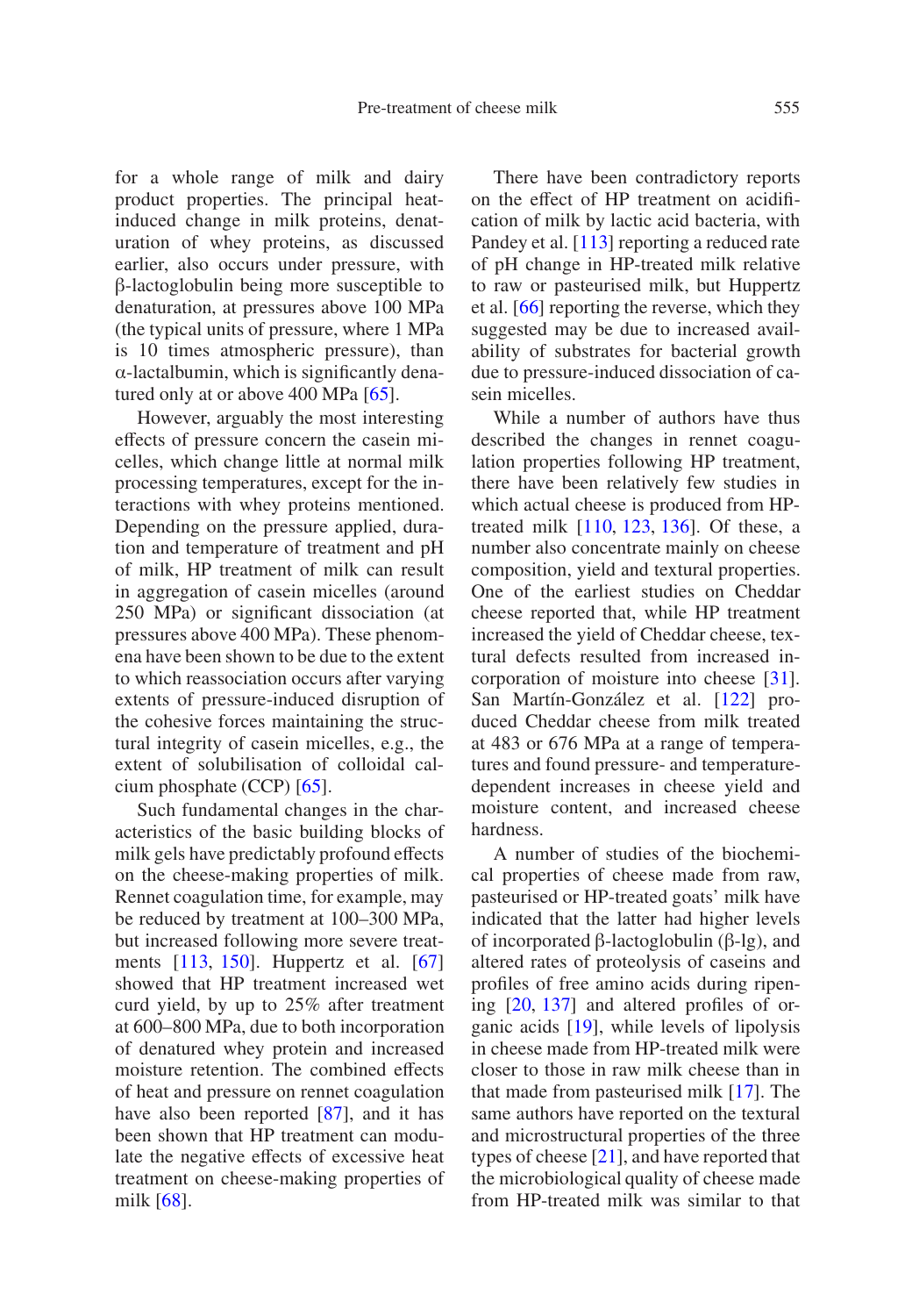for a whole range of milk and dairy product properties. The principal heatinduced change in milk proteins, denaturation of whey proteins, as discussed earlier, also occurs under pressure, with β-lactoglobulin being more susceptible to denaturation, at pressures above 100 MPa (the typical units of pressure, where 1 MPa is 10 times atmospheric pressure), than  $\alpha$ -lactalbumin, which is significantly dena-tured only at or above 400 MPa [\[65\]](#page-19-5).

However, arguably the most interesting effects of pressure concern the casein micelles, which change little at normal milk processing temperatures, except for the interactions with whey proteins mentioned. Depending on the pressure applied, duration and temperature of treatment and pH of milk, HP treatment of milk can result in aggregation of casein micelles (around 250 MPa) or significant dissociation (at pressures above 400 MPa). These phenomena have been shown to be due to the extent to which reassociation occurs after varying extents of pressure-induced disruption of the cohesive forces maintaining the structural integrity of casein micelles, e.g., the extent of solubilisation of colloidal calcium phosphate (CCP) [\[65](#page-19-5)].

Such fundamental changes in the characteristics of the basic building blocks of milk gels have predictably profound effects on the cheese-making properties of milk. Rennet coagulation time, for example, may be reduced by treatment at 100–300 MPa, but increased following more severe treatments [\[113,](#page-21-4) [150\]](#page-23-2). Huppertz et al. [\[67](#page-19-6)] showed that HP treatment increased wet curd yield, by up to 25% after treatment at 600–800 MPa, due to both incorporation of denatured whey protein and increased moisture retention. The combined effects of heat and pressure on rennet coagulation have also been reported [\[87](#page-20-4)], and it has been shown that HP treatment can modulate the negative effects of excessive heat treatment on cheese-making properties of milk [\[68\]](#page-19-7).

There have been contradictory reports on the effect of HP treatment on acidification of milk by lactic acid bacteria, with Pandey et al. [\[113\]](#page-21-4) reporting a reduced rate of pH change in HP-treated milk relative to raw or pasteurised milk, but Huppertz et al. [\[66\]](#page-19-8) reporting the reverse, which they suggested may be due to increased availability of substrates for bacterial growth due to pressure-induced dissociation of casein micelles.

While a number of authors have thus described the changes in rennet coagulation properties following HP treatment, there have been relatively few studies in which actual cheese is produced from HPtreated milk [\[110,](#page-21-5) [123,](#page-22-5) [136\]](#page-22-6). Of these, a number also concentrate mainly on cheese composition, yield and textural properties. One of the earliest studies on Cheddar cheese reported that, while HP treatment increased the yield of Cheddar cheese, textural defects resulted from increased incorporation of moisture into cheese [\[31\]](#page-18-5). San Martín-González et al. [\[122\]](#page-22-7) produced Cheddar cheese from milk treated at 483 or 676 MPa at a range of temperatures and found pressure- and temperaturedependent increases in cheese yield and moisture content, and increased cheese hardness.

A number of studies of the biochemical properties of cheese made from raw, pasteurised or HP-treated goats' milk have indicated that the latter had higher levels of incorporated β-lactoglobulin (β-lg), and altered rates of proteolysis of caseins and profiles of free amino acids during ripening [\[20,](#page-17-10) [137\]](#page-22-8) and altered profiles of organic acids [\[19](#page-17-11)], while levels of lipolysis in cheese made from HP-treated milk were closer to those in raw milk cheese than in that made from pasteurised milk [\[17\]](#page-17-12). The same authors have reported on the textural and microstructural properties of the three types of cheese [\[21\]](#page-17-13), and have reported that the microbiological quality of cheese made from HP-treated milk was similar to that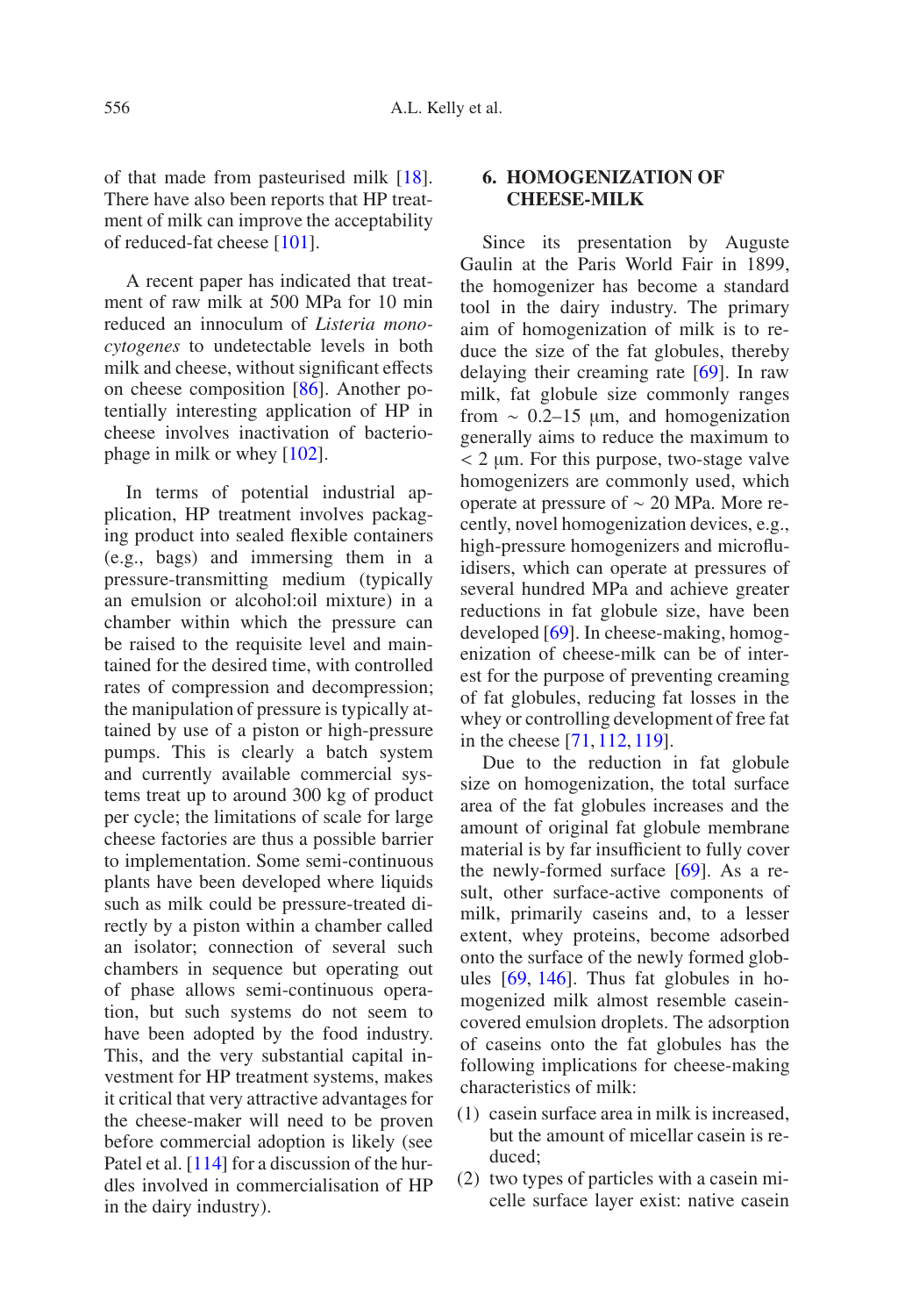of that made from pasteurised milk [\[18](#page-17-14)]. There have also been reports that HP treatment of milk can improve the acceptability of reduced-fat cheese [\[101\]](#page-21-6).

A recent paper has indicated that treatment of raw milk at 500 MPa for 10 min reduced an innoculum of *Listeria monocytogenes* to undetectable levels in both milk and cheese, without significant effects on cheese composition [\[86\]](#page-20-5). Another potentially interesting application of HP in cheese involves inactivation of bacteriophage in milk or whey [\[102](#page-21-7)].

In terms of potential industrial application, HP treatment involves packaging product into sealed flexible containers (e.g., bags) and immersing them in a pressure-transmitting medium (typically an emulsion or alcohol:oil mixture) in a chamber within which the pressure can be raised to the requisite level and maintained for the desired time, with controlled rates of compression and decompression; the manipulation of pressure is typically attained by use of a piston or high-pressure pumps. This is clearly a batch system and currently available commercial systems treat up to around 300 kg of product per cycle; the limitations of scale for large cheese factories are thus a possible barrier to implementation. Some semi-continuous plants have been developed where liquids such as milk could be pressure-treated directly by a piston within a chamber called an isolator; connection of several such chambers in sequence but operating out of phase allows semi-continuous operation, but such systems do not seem to have been adopted by the food industry. This, and the very substantial capital investment for HP treatment systems, makes it critical that very attractive advantages for the cheese-maker will need to be proven before commercial adoption is likely (see Patel et al. [\[114\]](#page-21-8) for a discussion of the hurdles involved in commercialisation of HP in the dairy industry).

#### **6. HOMOGENIZATION OF CHEESE-MILK**

Since its presentation by Auguste Gaulin at the Paris World Fair in 1899, the homogenizer has become a standard tool in the dairy industry. The primary aim of homogenization of milk is to reduce the size of the fat globules, thereby delaying their creaming rate [\[69\]](#page-19-9). In raw milk, fat globule size commonly ranges from  $\sim$  0.2–15 µm, and homogenization generally aims to reduce the maximum to < 2 μm. For this purpose, two-stage valve homogenizers are commonly used, which operate at pressure of ∼ 20 MPa. More recently, novel homogenization devices, e.g., high-pressure homogenizers and microfluidisers, which can operate at pressures of several hundred MPa and achieve greater reductions in fat globule size, have been developed [\[69](#page-19-9)]. In cheese-making, homogenization of cheese-milk can be of interest for the purpose of preventing creaming of fat globules, reducing fat losses in the whey or controlling development of free fat in the cheese [\[71,](#page-20-6) [112](#page-21-9), [119\]](#page-22-9).

Due to the reduction in fat globule size on homogenization, the total surface area of the fat globules increases and the amount of original fat globule membrane material is by far insufficient to fully cover the newly-formed surface [\[69](#page-19-9)]. As a result, other surface-active components of milk, primarily caseins and, to a lesser extent, whey proteins, become adsorbed onto the surface of the newly formed globules [\[69,](#page-19-9) [146\]](#page-23-3). Thus fat globules in homogenized milk almost resemble caseincovered emulsion droplets. The adsorption of caseins onto the fat globules has the following implications for cheese-making characteristics of milk:

- (1) casein surface area in milk is increased, but the amount of micellar casein is reduced;
- (2) two types of particles with a casein micelle surface layer exist: native casein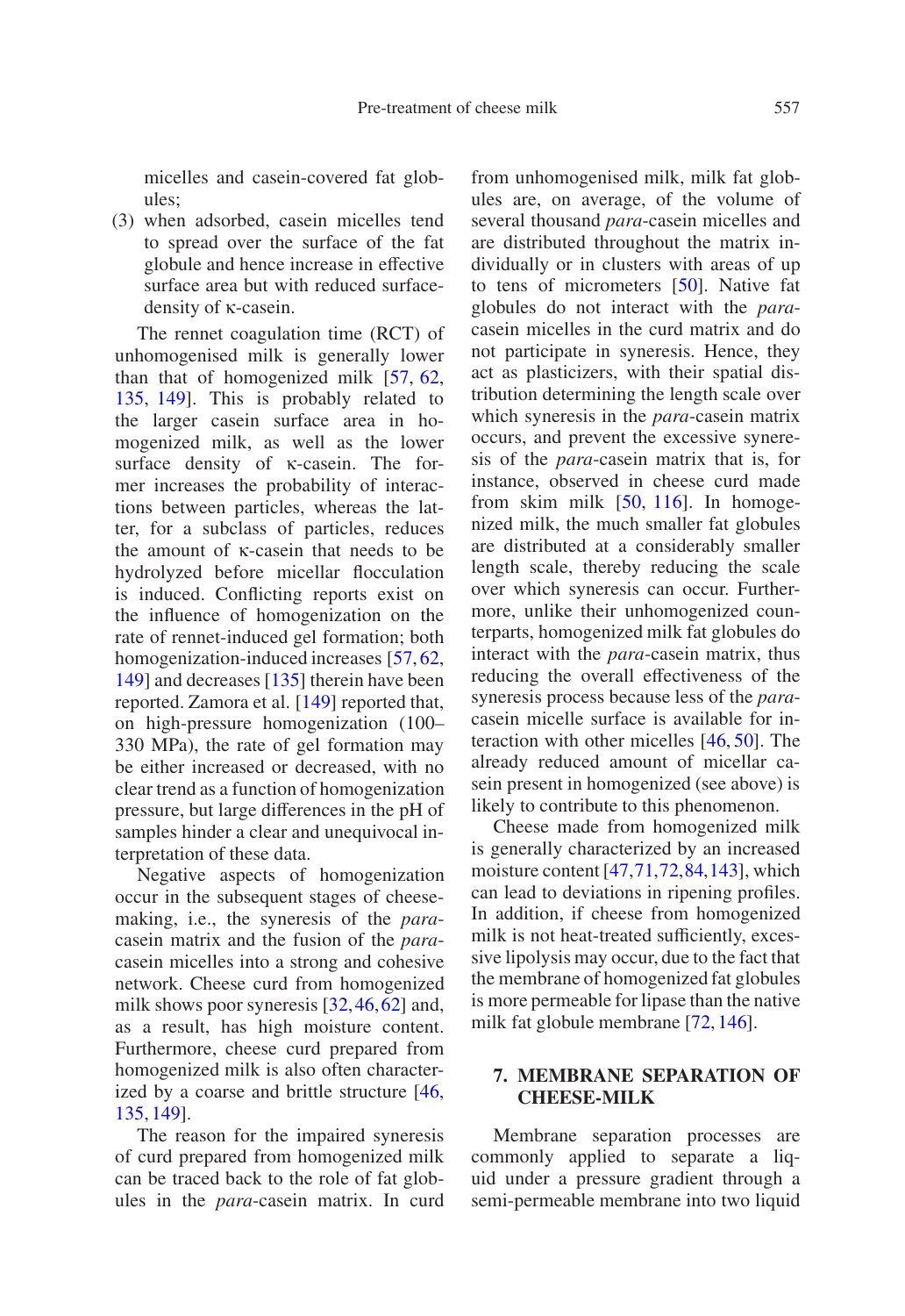micelles and casein-covered fat globules;

(3) when adsorbed, casein micelles tend to spread over the surface of the fat globule and hence increase in effective surface area but with reduced surfacedensity of κ-casein.

The rennet coagulation time (RCT) of unhomogenised milk is generally lower than that of homogenized milk [\[57,](#page-19-10) [62](#page-19-11), [135,](#page-22-10) [149\]](#page-23-4). This is probably related to the larger casein surface area in homogenized milk, as well as the lower surface density of κ-casein. The former increases the probability of interactions between particles, whereas the latter, for a subclass of particles, reduces the amount of κ-casein that needs to be hydrolyzed before micellar flocculation is induced. Conflicting reports exist on the influence of homogenization on the rate of rennet-induced gel formation; both homogenization-induced increases [\[57](#page-19-10), [62](#page-19-11), [149\]](#page-23-4) and decreases [\[135\]](#page-22-10) therein have been reported. Zamora et al. [\[149\]](#page-23-4) reported that, on high-pressure homogenization (100– 330 MPa), the rate of gel formation may be either increased or decreased, with no clear trend as a function of homogenization pressure, but large differences in the pH of samples hinder a clear and unequivocal interpretation of these data.

Negative aspects of homogenization occur in the subsequent stages of cheesemaking, i.e., the syneresis of the *para*casein matrix and the fusion of the *para*casein micelles into a strong and cohesive network. Cheese curd from homogenized milk shows poor syneresis [\[32,](#page-18-6)[46,](#page-18-7)[62\]](#page-19-11) and, as a result, has high moisture content. Furthermore, cheese curd prepared from homogenized milk is also often character-ized by a coarse and brittle structure [\[46](#page-18-7), [135,](#page-22-10) [149](#page-23-4)].

The reason for the impaired syneresis of curd prepared from homogenized milk can be traced back to the role of fat globules in the *para*-casein matrix. In curd from unhomogenised milk, milk fat globules are, on average, of the volume of several thousand *para*-casein micelles and are distributed throughout the matrix individually or in clusters with areas of up to tens of micrometers [\[50\]](#page-19-12). Native fat globules do not interact with the *para*casein micelles in the curd matrix and do not participate in syneresis. Hence, they act as plasticizers, with their spatial distribution determining the length scale over which syneresis in the *para*-casein matrix occurs, and prevent the excessive syneresis of the *para*-casein matrix that is, for instance, observed in cheese curd made from skim milk [\[50,](#page-19-12) [116\]](#page-22-11). In homogenized milk, the much smaller fat globules are distributed at a considerably smaller length scale, thereby reducing the scale over which syneresis can occur. Furthermore, unlike their unhomogenized counterparts, homogenized milk fat globules do interact with the *para*-casein matrix, thus reducing the overall effectiveness of the syneresis process because less of the *para*casein micelle surface is available for interaction with other micelles [\[46,](#page-18-7) [50\]](#page-19-12). The already reduced amount of micellar casein present in homogenized (see above) is likely to contribute to this phenomenon.

Cheese made from homogenized milk is generally characterized by an increased moisture content [\[47](#page-18-8)[,71](#page-20-6)[,72](#page-20-7)[,84](#page-20-8)[,143\]](#page-23-5), which can lead to deviations in ripening profiles. In addition, if cheese from homogenized milk is not heat-treated sufficiently, excessive lipolysis may occur, due to the fact that the membrane of homogenized fat globules is more permeable for lipase than the native milk fat globule membrane [\[72,](#page-20-7) [146](#page-23-3)].

#### **7. MEMBRANE SEPARATION OF CHEESE-MILK**

Membrane separation processes are commonly applied to separate a liquid under a pressure gradient through a semi-permeable membrane into two liquid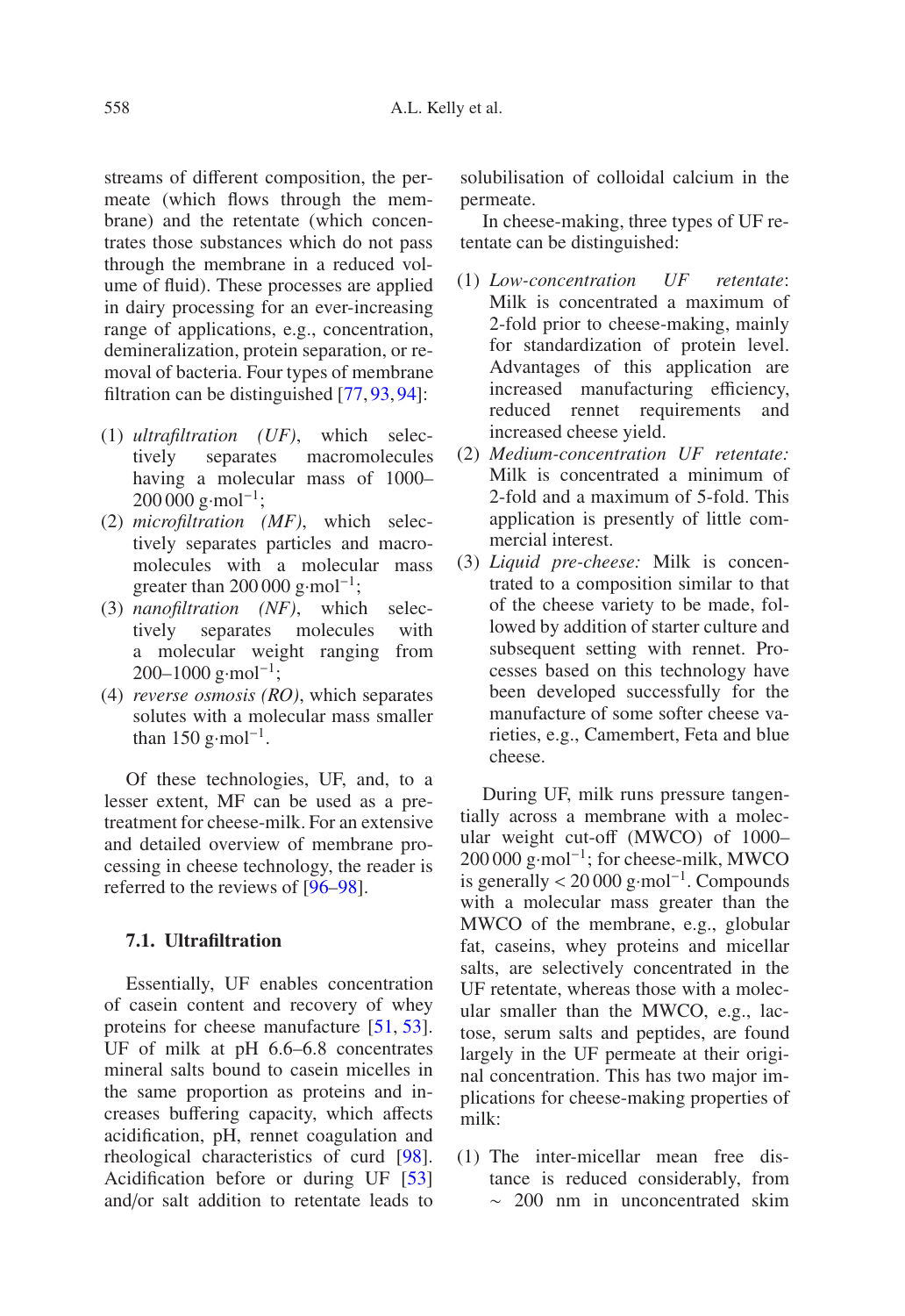streams of different composition, the permeate (which flows through the membrane) and the retentate (which concentrates those substances which do not pass through the membrane in a reduced volume of fluid). These processes are applied in dairy processing for an ever-increasing range of applications, e.g., concentration, demineralization, protein separation, or removal of bacteria. Four types of membrane filtration can be distinguished [\[77,](#page-20-9) [93,](#page-21-10) [94\]](#page-21-11):

- (1) *ultrafiltration (UF)*, which selectively separates macromolecules having a molecular mass of 1000–  $200\,000 \text{ g} \cdot \text{mol}^{-1}$ ;
- (2) *microfiltration (MF)*, which selectively separates particles and macromolecules with a molecular mass greater than 200 000 g·mol<sup>-1</sup>;
- (3) *nanofiltration (NF)*, which selectively separates molecules with a molecular weight ranging from 200–1000 g·mol<sup>-1</sup>;
- (4) *reverse osmosis (RO)*, which separates solutes with a molecular mass smaller than 150 g·mol<sup>-1</sup>.

Of these technologies, UF, and, to a lesser extent, MF can be used as a pretreatment for cheese-milk. For an extensive and detailed overview of membrane processing in cheese technology, the reader is referred to the reviews of [\[96](#page-21-12)[–98\]](#page-21-13).

#### **7.1. Ultrafiltration**

Essentially, UF enables concentration of casein content and recovery of whey proteins for cheese manufacture [\[51,](#page-19-13) [53](#page-19-14)]. UF of milk at pH 6.6–6.8 concentrates mineral salts bound to casein micelles in the same proportion as proteins and increases buffering capacity, which affects acidification, pH, rennet coagulation and rheological characteristics of curd [\[98](#page-21-13)]. Acidification before or during UF [\[53\]](#page-19-14) and/or salt addition to retentate leads to solubilisation of colloidal calcium in the permeate.

In cheese-making, three types of UF retentate can be distinguished:

- (1) *Low-concentration UF retentate*: Milk is concentrated a maximum of 2-fold prior to cheese-making, mainly for standardization of protein level. Advantages of this application are increased manufacturing efficiency, reduced rennet requirements and increased cheese yield.
- (2) *Medium-concentration UF retentate:* Milk is concentrated a minimum of 2-fold and a maximum of 5-fold. This application is presently of little commercial interest.
- (3) *Liquid pre-cheese:* Milk is concentrated to a composition similar to that of the cheese variety to be made, followed by addition of starter culture and subsequent setting with rennet. Processes based on this technology have been developed successfully for the manufacture of some softer cheese varieties, e.g., Camembert, Feta and blue cheese.

During UF, milk runs pressure tangentially across a membrane with a molecular weight cut-off (MWCO) of 1000– 200 000 g·mol−1; for cheese-milk, MWCO is generally  $\lt$  20 000 g·mol<sup>-1</sup>. Compounds with a molecular mass greater than the MWCO of the membrane, e.g., globular fat, caseins, whey proteins and micellar salts, are selectively concentrated in the UF retentate, whereas those with a molecular smaller than the MWCO, e.g., lactose, serum salts and peptides, are found largely in the UF permeate at their original concentration. This has two major implications for cheese-making properties of milk:

(1) The inter-micellar mean free distance is reduced considerably, from ∼ 200 nm in unconcentrated skim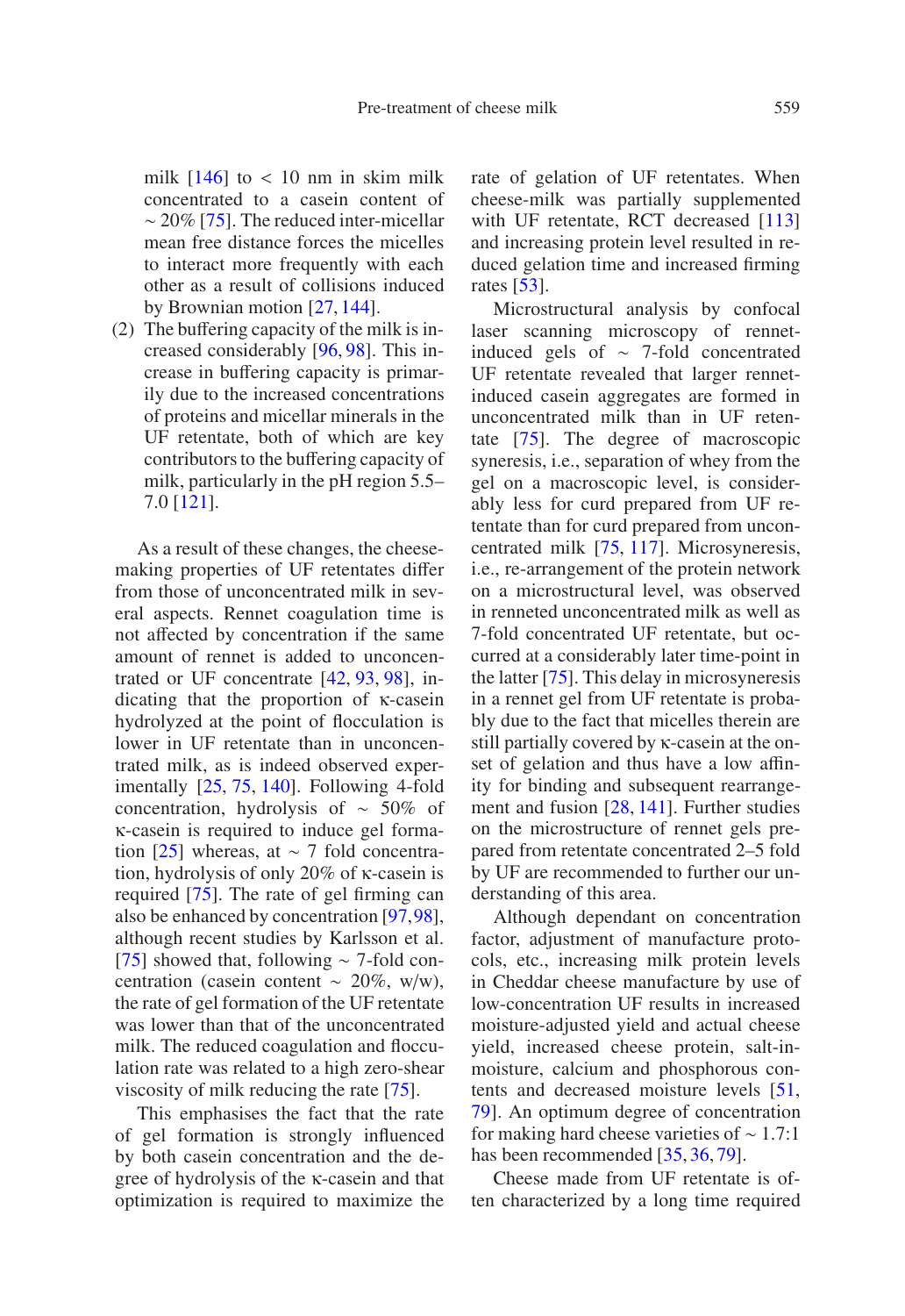milk  $[146]$  $[146]$  to  $\lt$  10 nm in skim milk concentrated to a casein content of ∼ 20% [\[75\]](#page-20-10). The reduced inter-micellar mean free distance forces the micelles to interact more frequently with each other as a result of collisions induced by Brownian motion [\[27,](#page-18-9) [144](#page-23-6)].

(2) The buffering capacity of the milk is increased considerably [\[96,](#page-21-12) [98\]](#page-21-13). This increase in buffering capacity is primarily due to the increased concentrations of proteins and micellar minerals in the UF retentate, both of which are key contributors to the buffering capacity of milk, particularly in the pH region 5.5– 7.0 [\[121\]](#page-22-12).

As a result of these changes, the cheesemaking properties of UF retentates differ from those of unconcentrated milk in several aspects. Rennet coagulation time is not affected by concentration if the same amount of rennet is added to unconcentrated or UF concentrate [\[42,](#page-18-10) [93,](#page-21-10) [98\]](#page-21-13), indicating that the proportion of κ-casein hydrolyzed at the point of flocculation is lower in UF retentate than in unconcentrated milk, as is indeed observed experimentally [\[25,](#page-18-11) [75,](#page-20-10) [140\]](#page-23-7). Following 4-fold concentration, hydrolysis of ∼ 50% of κ-casein is required to induce gel forma-tion [\[25](#page-18-11)] whereas, at  $\sim$  7 fold concentration, hydrolysis of only 20% of κ-casein is required [\[75\]](#page-20-10). The rate of gel firming can also be enhanced by concentration [\[97,](#page-21-14)[98\]](#page-21-13), although recent studies by Karlsson et al. [\[75\]](#page-20-10) showed that, following ∼ 7-fold concentration (casein content  $\sim$  20%, w/w), the rate of gel formation of the UF retentate was lower than that of the unconcentrated milk. The reduced coagulation and flocculation rate was related to a high zero-shear viscosity of milk reducing the rate [\[75\]](#page-20-10).

This emphasises the fact that the rate of gel formation is strongly influenced by both casein concentration and the degree of hydrolysis of the κ-casein and that optimization is required to maximize the

rate of gelation of UF retentates. When cheese-milk was partially supplemented with UF retentate, RCT decreased [\[113\]](#page-21-4) and increasing protein level resulted in reduced gelation time and increased firming rates [\[53\]](#page-19-14).

Microstructural analysis by confocal laser scanning microscopy of rennetinduced gels of ∼ 7-fold concentrated UF retentate revealed that larger rennetinduced casein aggregates are formed in unconcentrated milk than in UF retentate [\[75\]](#page-20-10). The degree of macroscopic syneresis, i.e., separation of whey from the gel on a macroscopic level, is considerably less for curd prepared from UF retentate than for curd prepared from unconcentrated milk [\[75,](#page-20-10) [117\]](#page-22-13). Microsyneresis, i.e., re-arrangement of the protein network on a microstructural level, was observed in renneted unconcentrated milk as well as 7-fold concentrated UF retentate, but occurred at a considerably later time-point in the latter [\[75\]](#page-20-10). This delay in microsyneresis in a rennet gel from UF retentate is probably due to the fact that micelles therein are still partially covered by κ-casein at the onset of gelation and thus have a low affinity for binding and subsequent rearrangement and fusion [\[28,](#page-18-12) [141\]](#page-23-8). Further studies on the microstructure of rennet gels prepared from retentate concentrated 2–5 fold by UF are recommended to further our understanding of this area.

Although dependant on concentration factor, adjustment of manufacture protocols, etc., increasing milk protein levels in Cheddar cheese manufacture by use of low-concentration UF results in increased moisture-adjusted yield and actual cheese yield, increased cheese protein, salt-inmoisture, calcium and phosphorous contents and decreased moisture levels [\[51](#page-19-13), [79\]](#page-20-11). An optimum degree of concentration for making hard cheese varieties of ∼ 1.7:1 has been recommended [\[35](#page-18-13), [36,](#page-18-14) [79\]](#page-20-11).

Cheese made from UF retentate is often characterized by a long time required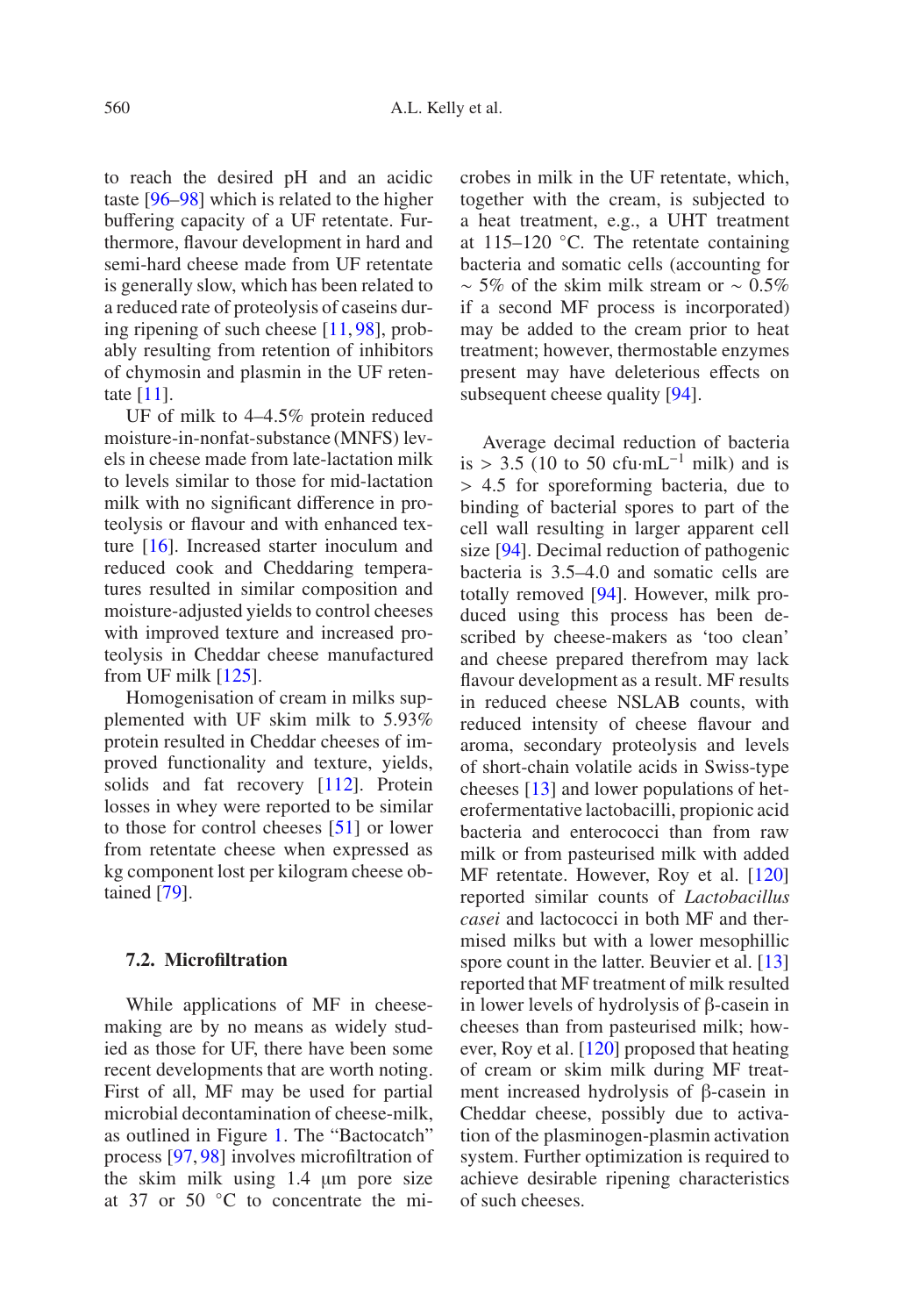to reach the desired pH and an acidic taste [\[96](#page-21-12)[–98\]](#page-21-13) which is related to the higher buffering capacity of a UF retentate. Furthermore, flavour development in hard and semi-hard cheese made from UF retentate is generally slow, which has been related to a reduced rate of proteolysis of caseins during ripening of such cheese  $[11, 98]$  $[11, 98]$  $[11, 98]$ , probably resulting from retention of inhibitors of chymosin and plasmin in the UF retentate [\[11\]](#page-17-15).

UF of milk to 4–4.5% protein reduced moisture-in-nonfat-substance (MNFS) levels in cheese made from late-lactation milk to levels similar to those for mid-lactation milk with no significant difference in proteolysis or flavour and with enhanced texture [\[16\]](#page-17-16). Increased starter inoculum and reduced cook and Cheddaring temperatures resulted in similar composition and moisture-adjusted yields to control cheeses with improved texture and increased proteolysis in Cheddar cheese manufactured from UF milk [\[125\]](#page-22-14).

Homogenisation of cream in milks supplemented with UF skim milk to 5.93% protein resulted in Cheddar cheeses of improved functionality and texture, yields, solids and fat recovery [\[112\]](#page-21-9). Protein losses in whey were reported to be similar to those for control cheeses [\[51](#page-19-13)] or lower from retentate cheese when expressed as kg component lost per kilogram cheese obtained [\[79\]](#page-20-11).

#### **7.2. Microfiltration**

While applications of MF in cheesemaking are by no means as widely studied as those for UF, there have been some recent developments that are worth noting. First of all, MF may be used for partial microbial decontamination of cheese-milk, as outlined in Figure [1.](#page-12-0) The "Bactocatch" process [\[97,](#page-21-14) [98\]](#page-21-13) involves microfiltration of the skim milk using 1.4 μm pore size at 37 or 50 ◦C to concentrate the microbes in milk in the UF retentate, which, together with the cream, is subjected to a heat treatment, e.g., a UHT treatment at  $115-120$  °C. The retentate containing bacteria and somatic cells (accounting for  $~\sim$  5% of the skim milk stream or  $~\sim 0.5\%$ if a second MF process is incorporated) may be added to the cream prior to heat treatment; however, thermostable enzymes present may have deleterious effects on subsequent cheese quality [\[94](#page-21-11)].

Average decimal reduction of bacteria is > 3.5 (10 to 50 cfu⋅mL<sup>-1</sup> milk) and is > 4.5 for sporeforming bacteria, due to binding of bacterial spores to part of the cell wall resulting in larger apparent cell size [\[94\]](#page-21-11). Decimal reduction of pathogenic bacteria is 3.5–4.0 and somatic cells are totally removed [\[94\]](#page-21-11). However, milk produced using this process has been described by cheese-makers as 'too clean' and cheese prepared therefrom may lack flavour development as a result. MF results in reduced cheese NSLAB counts, with reduced intensity of cheese flavour and aroma, secondary proteolysis and levels of short-chain volatile acids in Swiss-type cheeses [\[13\]](#page-17-17) and lower populations of heterofermentative lactobacilli, propionic acid bacteria and enterococci than from raw milk or from pasteurised milk with added MF retentate. However, Roy et al. [\[120\]](#page-22-15) reported similar counts of *Lactobacillus casei* and lactococci in both MF and thermised milks but with a lower mesophillic spore count in the latter. Beuvier et al. [\[13\]](#page-17-17) reported that MF treatment of milk resulted in lower levels of hydrolysis of β-casein in cheeses than from pasteurised milk; however, Roy et al. [\[120\]](#page-22-15) proposed that heating of cream or skim milk during MF treatment increased hydrolysis of β-casein in Cheddar cheese, possibly due to activation of the plasminogen-plasmin activation system. Further optimization is required to achieve desirable ripening characteristics of such cheeses.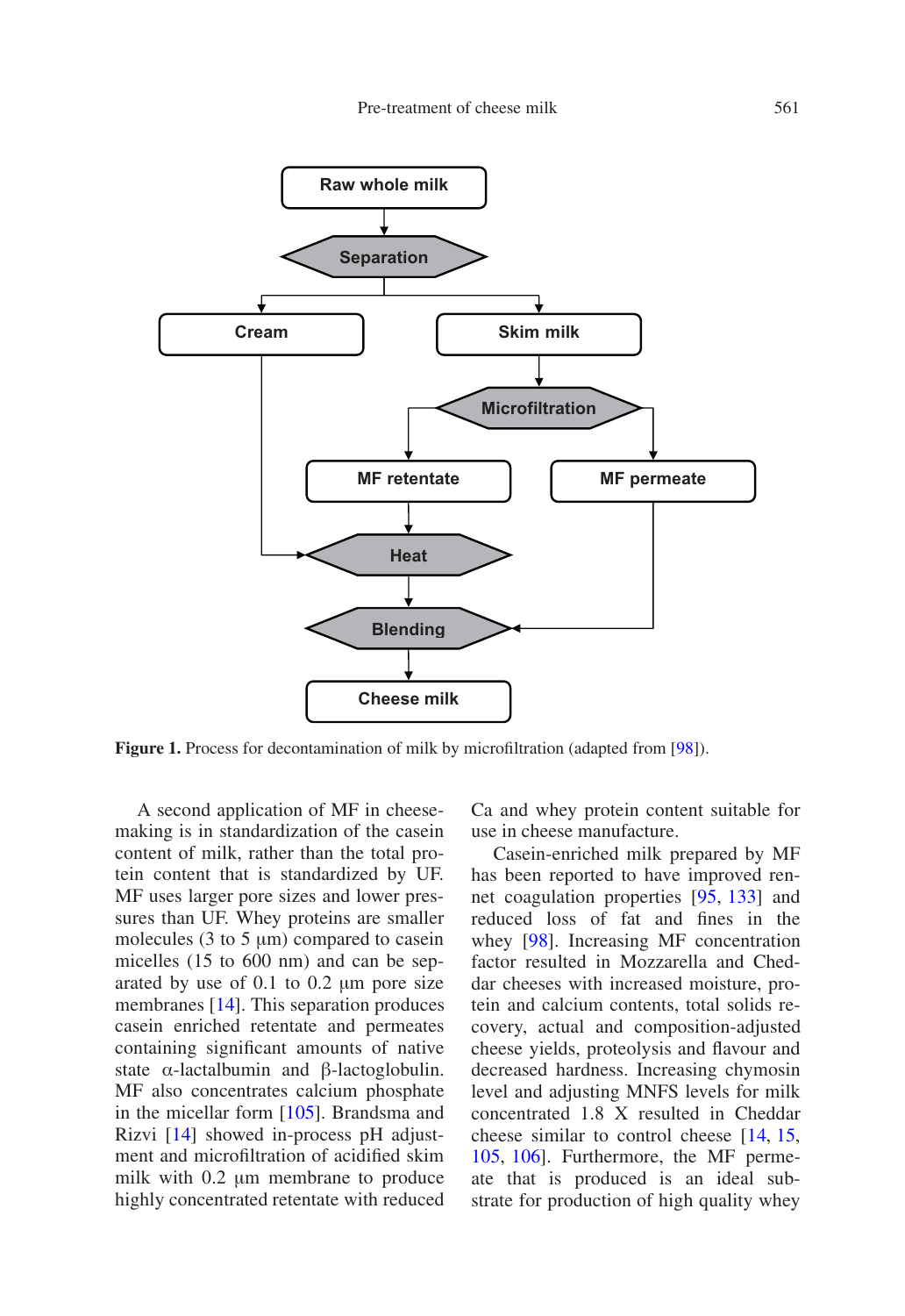

<span id="page-12-0"></span>Figure 1. Process for decontamination of milk by microfiltration (adapted from [\[98\]](#page-21-13)).

A second application of MF in cheesemaking is in standardization of the casein content of milk, rather than the total protein content that is standardized by UF. MF uses larger pore sizes and lower pressures than UF. Whey proteins are smaller molecules  $(3 \text{ to } 5 \text{ µm})$  compared to casein micelles (15 to 600 nm) and can be separated by use of 0.1 to 0.2 μm pore size membranes [\[14\]](#page-17-18). This separation produces casein enriched retentate and permeates containing significant amounts of native state α-lactalbumin and β-lactoglobulin. MF also concentrates calcium phosphate in the micellar form [\[105\]](#page-21-15). Brandsma and Rizvi [\[14\]](#page-17-18) showed in-process pH adjustment and microfiltration of acidified skim milk with 0.2 μm membrane to produce highly concentrated retentate with reduced Ca and whey protein content suitable for use in cheese manufacture.

Casein-enriched milk prepared by MF has been reported to have improved rennet coagulation properties [\[95,](#page-21-16) [133](#page-22-16)] and reduced loss of fat and fines in the whey [\[98\]](#page-21-13). Increasing MF concentration factor resulted in Mozzarella and Cheddar cheeses with increased moisture, protein and calcium contents, total solids recovery, actual and composition-adjusted cheese yields, proteolysis and flavour and decreased hardness. Increasing chymosin level and adjusting MNFS levels for milk concentrated 1.8 X resulted in Cheddar cheese similar to control cheese [\[14](#page-17-18), [15](#page-17-19), [105,](#page-21-15) [106\]](#page-21-17). Furthermore, the MF permeate that is produced is an ideal substrate for production of high quality whey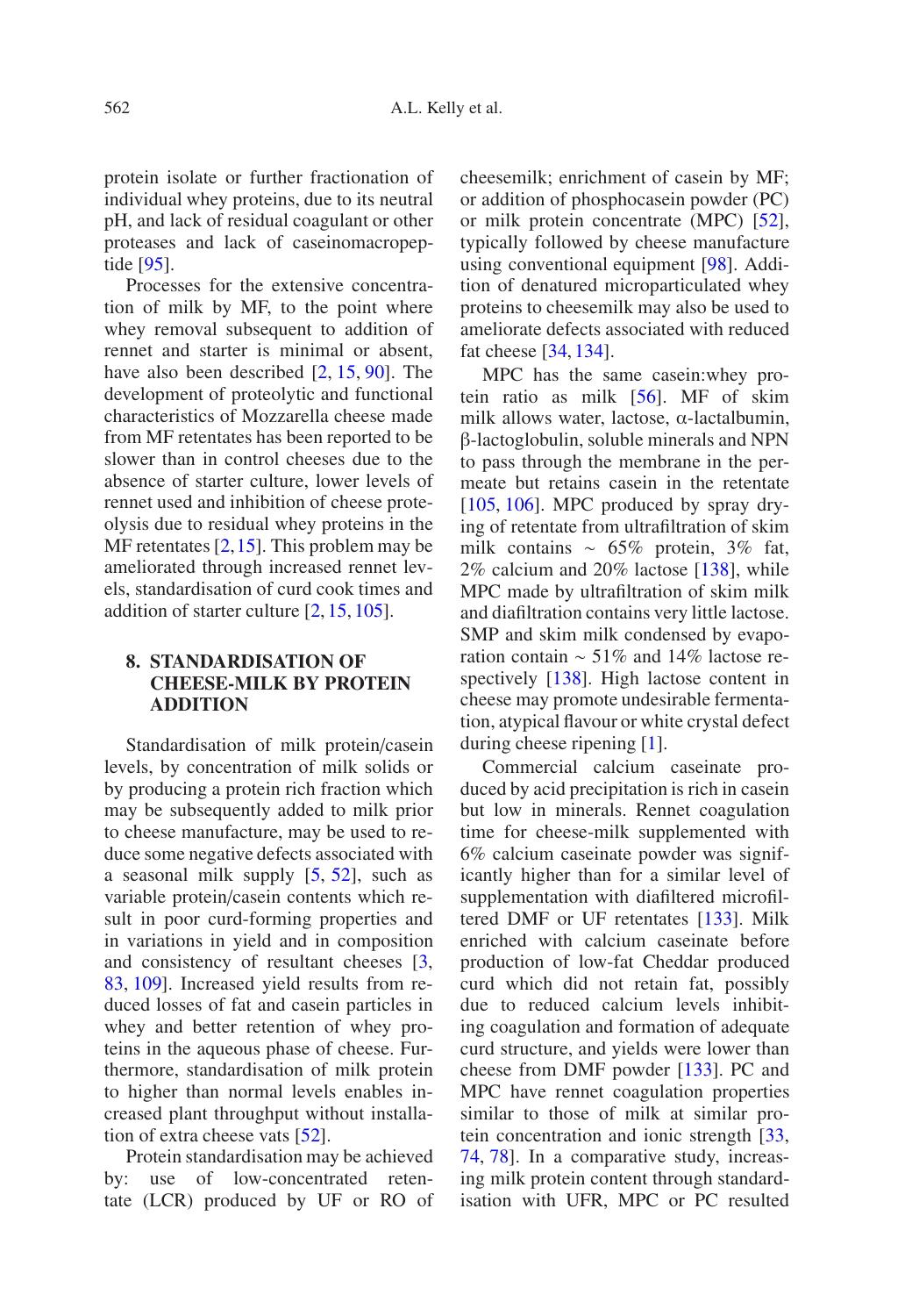protein isolate or further fractionation of individual whey proteins, due to its neutral pH, and lack of residual coagulant or other proteases and lack of caseinomacropeptide [\[95\]](#page-21-16).

Processes for the extensive concentration of milk by MF, to the point where whey removal subsequent to addition of rennet and starter is minimal or absent, have also been described [\[2](#page-17-20), [15](#page-17-19), [90\]](#page-20-3). The development of proteolytic and functional characteristics of Mozzarella cheese made from MF retentates has been reported to be slower than in control cheeses due to the absence of starter culture, lower levels of rennet used and inhibition of cheese proteolysis due to residual whey proteins in the MF retentates [\[2](#page-17-20)[,15](#page-17-19)]. This problem may be ameliorated through increased rennet levels, standardisation of curd cook times and addition of starter culture [\[2,](#page-17-20) [15,](#page-17-19) [105](#page-21-15)].

# **8. STANDARDISATION OF CHEESE-MILK BY PROTEIN ADDITION**

Standardisation of milk protein/casein levels, by concentration of milk solids or by producing a protein rich fraction which may be subsequently added to milk prior to cheese manufacture, may be used to reduce some negative defects associated with a seasonal milk supply [\[5,](#page-17-4) [52](#page-19-15)], such as variable protein/casein contents which result in poor curd-forming properties and in variations in yield and in composition and consistency of resultant cheeses [\[3,](#page-17-21) [83,](#page-20-12) [109\]](#page-21-18). Increased yield results from reduced losses of fat and casein particles in whey and better retention of whey proteins in the aqueous phase of cheese. Furthermore, standardisation of milk protein to higher than normal levels enables increased plant throughput without installation of extra cheese vats [\[52\]](#page-19-15).

Protein standardisation may be achieved by: use of low-concentrated retentate (LCR) produced by UF or RO of cheesemilk; enrichment of casein by MF; or addition of phosphocasein powder (PC) or milk protein concentrate (MPC) [\[52\]](#page-19-15), typically followed by cheese manufacture using conventional equipment [\[98\]](#page-21-13). Addition of denatured microparticulated whey proteins to cheesemilk may also be used to ameliorate defects associated with reduced fat cheese [\[34,](#page-18-15) [134](#page-22-17)].

MPC has the same casein:whey protein ratio as milk [\[56](#page-19-16)]. MF of skim milk allows water, lactose,  $\alpha$ -lactalbumin, β-lactoglobulin, soluble minerals and NPN to pass through the membrane in the permeate but retains casein in the retentate  $[105, 106]$  $[105, 106]$  $[105, 106]$  $[105, 106]$ . MPC produced by spray drying of retentate from ultrafiltration of skim milk contains ∼ 65% protein, 3% fat, 2% calcium and 20% lactose [\[138](#page-22-18)], while MPC made by ultrafiltration of skim milk and diafiltration contains very little lactose. SMP and skim milk condensed by evaporation contain ∼ 51% and 14% lactose re-spectively [\[138\]](#page-22-18). High lactose content in cheese may promote undesirable fermentation, atypical flavour or white crystal defect during cheese ripening [\[1\]](#page-16-0).

Commercial calcium caseinate produced by acid precipitation is rich in casein but low in minerals. Rennet coagulation time for cheese-milk supplemented with 6% calcium caseinate powder was significantly higher than for a similar level of supplementation with diafiltered microfiltered DMF or UF retentates [\[133\]](#page-22-16). Milk enriched with calcium caseinate before production of low-fat Cheddar produced curd which did not retain fat, possibly due to reduced calcium levels inhibiting coagulation and formation of adequate curd structure, and yields were lower than cheese from DMF powder [\[133\]](#page-22-16). PC and MPC have rennet coagulation properties similar to those of milk at similar protein concentration and ionic strength [\[33,](#page-18-16) [74](#page-20-13), [78](#page-20-14)]. In a comparative study, increasing milk protein content through standardisation with UFR, MPC or PC resulted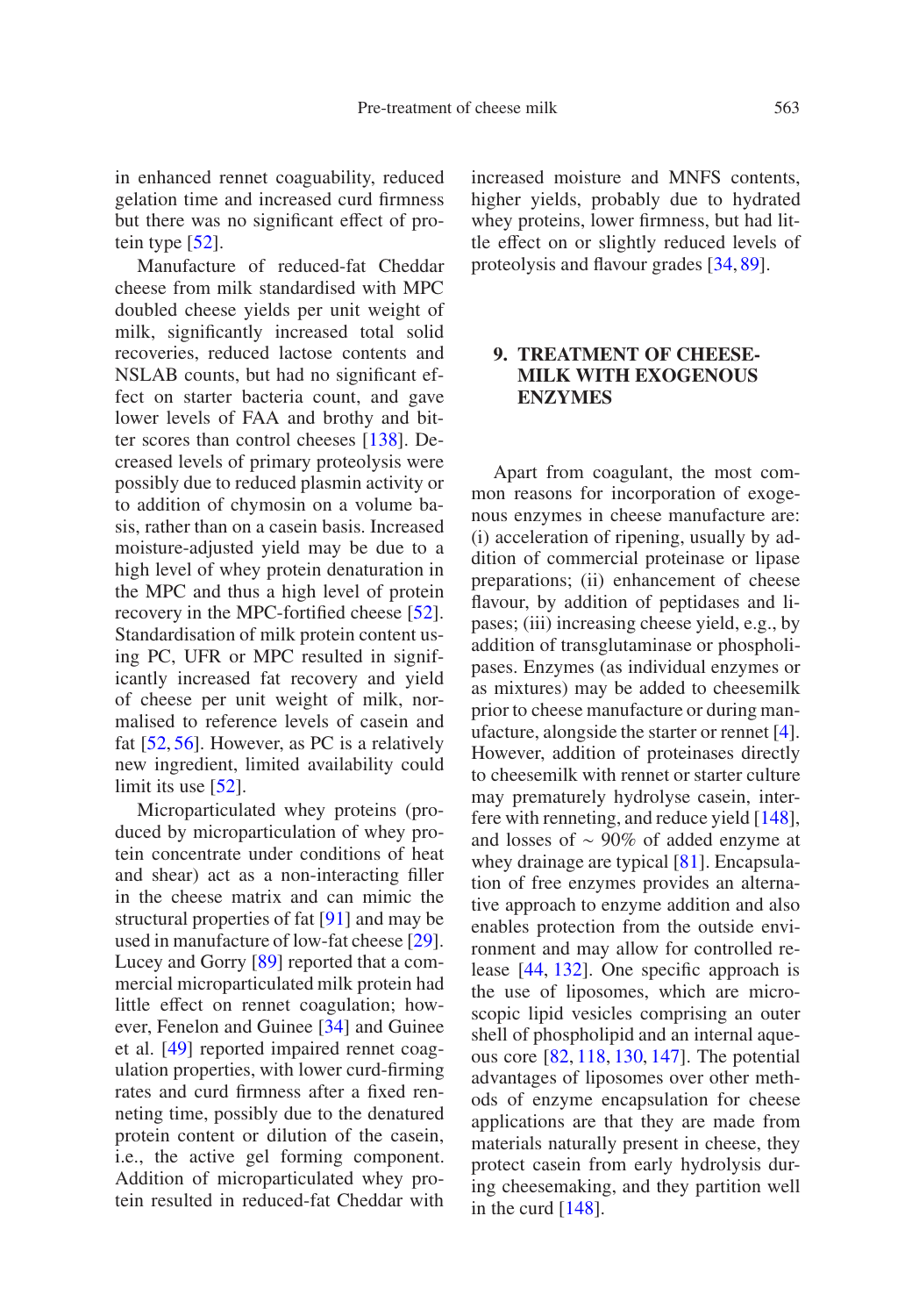in enhanced rennet coaguability, reduced gelation time and increased curd firmness but there was no significant effect of protein type [\[52\]](#page-19-15).

Manufacture of reduced-fat Cheddar cheese from milk standardised with MPC doubled cheese yields per unit weight of milk, significantly increased total solid recoveries, reduced lactose contents and NSLAB counts, but had no significant effect on starter bacteria count, and gave lower levels of FAA and brothy and bitter scores than control cheeses [\[138\]](#page-22-18). Decreased levels of primary proteolysis were possibly due to reduced plasmin activity or to addition of chymosin on a volume basis, rather than on a casein basis. Increased moisture-adjusted yield may be due to a high level of whey protein denaturation in the MPC and thus a high level of protein recovery in the MPC-fortified cheese [\[52\]](#page-19-15). Standardisation of milk protein content using PC, UFR or MPC resulted in significantly increased fat recovery and yield of cheese per unit weight of milk, normalised to reference levels of casein and fat [\[52](#page-19-15), [56](#page-19-16)]. However, as PC is a relatively new ingredient, limited availability could limit its use [\[52\]](#page-19-15).

Microparticulated whey proteins (produced by microparticulation of whey protein concentrate under conditions of heat and shear) act as a non-interacting filler in the cheese matrix and can mimic the structural properties of fat [\[91](#page-20-15)] and may be used in manufacture of low-fat cheese [\[29\]](#page-18-17). Lucey and Gorry [\[89](#page-20-16)] reported that a commercial microparticulated milk protein had little effect on rennet coagulation; however, Fenelon and Guinee [\[34\]](#page-18-15) and Guinee et al. [\[49\]](#page-19-17) reported impaired rennet coagulation properties, with lower curd-firming rates and curd firmness after a fixed renneting time, possibly due to the denatured protein content or dilution of the casein, i.e., the active gel forming component. Addition of microparticulated whey protein resulted in reduced-fat Cheddar with increased moisture and MNFS contents, higher yields, probably due to hydrated whey proteins, lower firmness, but had little effect on or slightly reduced levels of proteolysis and flavour grades [\[34,](#page-18-15) [89\]](#page-20-16).

# **9. TREATMENT OF CHEESE-MILK WITH EXOGENOUS ENZYMES**

Apart from coagulant, the most common reasons for incorporation of exogenous enzymes in cheese manufacture are: (i) acceleration of ripening, usually by addition of commercial proteinase or lipase preparations; (ii) enhancement of cheese flavour, by addition of peptidases and lipases; (iii) increasing cheese yield, e.g., by addition of transglutaminase or phospholipases. Enzymes (as individual enzymes or as mixtures) may be added to cheesemilk prior to cheese manufacture or during manufacture, alongside the starter or rennet [\[4\]](#page-17-22). However, addition of proteinases directly to cheesemilk with rennet or starter culture may prematurely hydrolyse casein, interfere with renneting, and reduce yield [\[148\]](#page-23-9), and losses of ∼ 90% of added enzyme at whey drainage are typical [\[81\]](#page-20-17). Encapsulation of free enzymes provides an alternative approach to enzyme addition and also enables protection from the outside environment and may allow for controlled release [\[44](#page-18-18), [132](#page-22-19)]. One specific approach is the use of liposomes, which are microscopic lipid vesicles comprising an outer shell of phospholipid and an internal aqueous core [\[82](#page-20-18), [118](#page-22-20), [130,](#page-22-21) [147\]](#page-23-10). The potential advantages of liposomes over other methods of enzyme encapsulation for cheese applications are that they are made from materials naturally present in cheese, they protect casein from early hydrolysis during cheesemaking, and they partition well in the curd [\[148](#page-23-9)].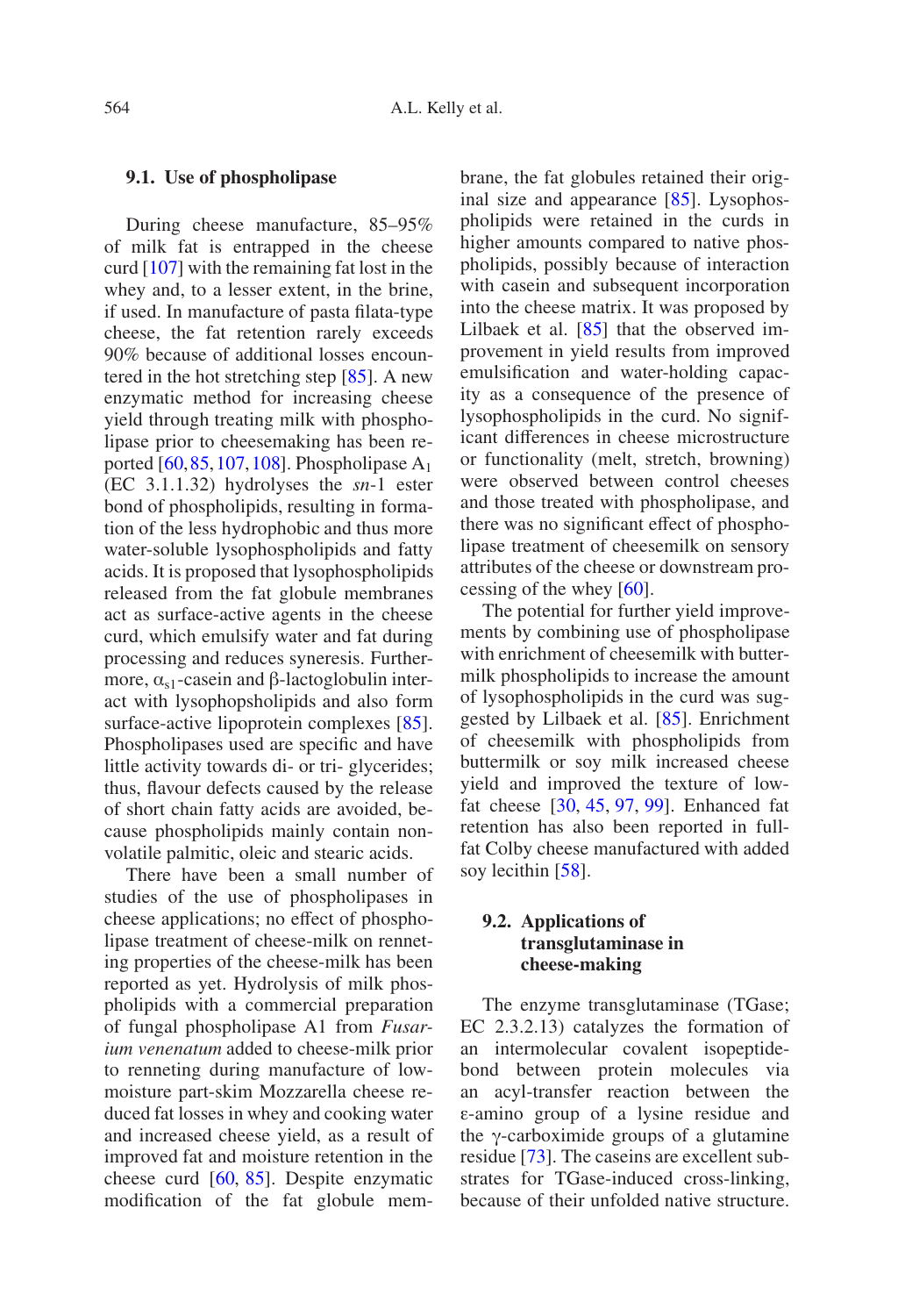#### **9.1. Use of phospholipase**

During cheese manufacture, 85–95% of milk fat is entrapped in the cheese curd [\[107\]](#page-21-19) with the remaining fat lost in the whey and, to a lesser extent, in the brine, if used. In manufacture of pasta filata-type cheese, the fat retention rarely exceeds 90% because of additional losses encountered in the hot stretching step [\[85\]](#page-20-19). A new enzymatic method for increasing cheese yield through treating milk with phospholipase prior to cheesemaking has been reported  $[60, 85, 107, 108]$  $[60, 85, 107, 108]$  $[60, 85, 107, 108]$  $[60, 85, 107, 108]$  $[60, 85, 107, 108]$ . Phospholipase A<sub>1</sub> (EC 3.1.1.32) hydrolyses the *sn*-1 ester bond of phospholipids, resulting in formation of the less hydrophobic and thus more water-soluble lysophospholipids and fatty acids. It is proposed that lysophospholipids released from the fat globule membranes act as surface-active agents in the cheese curd, which emulsify water and fat during processing and reduces syneresis. Furthermore,  $α<sub>s1</sub>$ -casein and β-lactoglobulin interact with lysophopsholipids and also form surface-active lipoprotein complexes [\[85](#page-20-19)]. Phospholipases used are specific and have little activity towards di- or tri- glycerides; thus, flavour defects caused by the release of short chain fatty acids are avoided, because phospholipids mainly contain nonvolatile palmitic, oleic and stearic acids.

There have been a small number of studies of the use of phospholipases in cheese applications; no effect of phospholipase treatment of cheese-milk on renneting properties of the cheese-milk has been reported as yet. Hydrolysis of milk phospholipids with a commercial preparation of fungal phospholipase A1 from *Fusarium venenatum* added to cheese-milk prior to renneting during manufacture of lowmoisture part-skim Mozzarella cheese reduced fat losses in whey and cooking water and increased cheese yield, as a result of improved fat and moisture retention in the cheese curd [\[60,](#page-19-18) [85\]](#page-20-19). Despite enzymatic modification of the fat globule membrane, the fat globules retained their original size and appearance [\[85\]](#page-20-19). Lysophospholipids were retained in the curds in higher amounts compared to native phospholipids, possibly because of interaction with casein and subsequent incorporation into the cheese matrix. It was proposed by Lilbaek et al. [\[85\]](#page-20-19) that the observed improvement in yield results from improved emulsification and water-holding capacity as a consequence of the presence of lysophospholipids in the curd. No significant differences in cheese microstructure or functionality (melt, stretch, browning) were observed between control cheeses and those treated with phospholipase, and there was no significant effect of phospholipase treatment of cheesemilk on sensory attributes of the cheese or downstream processing of the whey [\[60\]](#page-19-18).

The potential for further yield improvements by combining use of phospholipase with enrichment of cheesemilk with buttermilk phospholipids to increase the amount of lysophospholipids in the curd was suggested by Lilbaek et al. [\[85](#page-20-19)]. Enrichment of cheesemilk with phospholipids from buttermilk or soy milk increased cheese yield and improved the texture of lowfat cheese [\[30,](#page-18-19) [45,](#page-18-20) [97](#page-21-14), [99](#page-21-21)]. Enhanced fat retention has also been reported in fullfat Colby cheese manufactured with added soy lecithin [\[58\]](#page-19-19).

## **9.2. Applications of transglutaminase in cheese-making**

The enzyme transglutaminase (TGase; EC 2.3.2.13) catalyzes the formation of an intermolecular covalent isopeptidebond between protein molecules via an acyl-transfer reaction between the ε-amino group of a lysine residue and the γ-carboximide groups of a glutamine residue [\[73](#page-20-20)]. The caseins are excellent substrates for TGase-induced cross-linking, because of their unfolded native structure.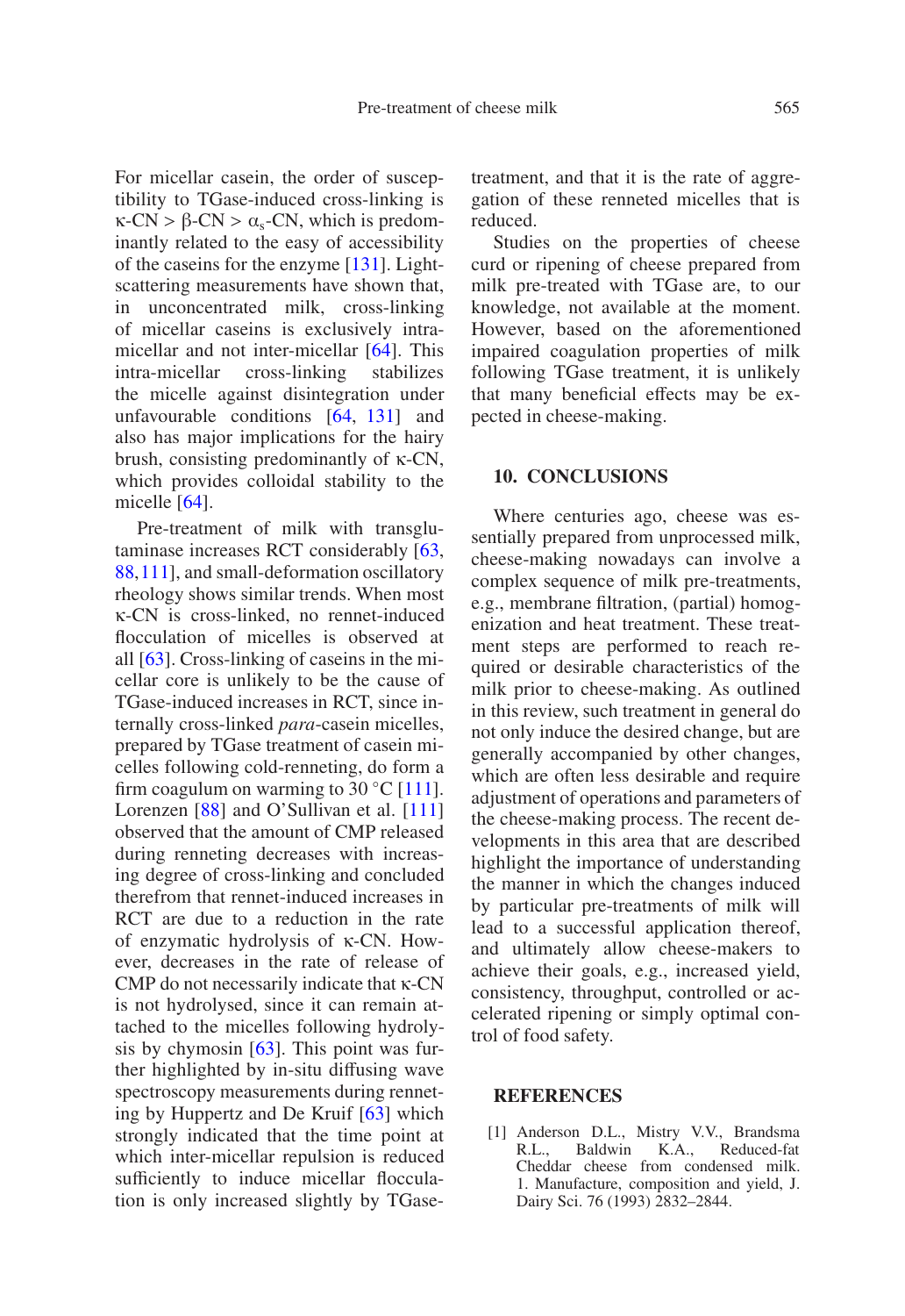For micellar casein, the order of susceptibility to TGase-induced cross-linking is  $κ$ -CN > β-CN >  $α<sub>s</sub>$ -CN, which is predominantly related to the easy of accessibility of the caseins for the enzyme [\[131\]](#page-22-22). Lightscattering measurements have shown that, in unconcentrated milk, cross-linking of micellar caseins is exclusively intramicellar and not inter-micellar [\[64](#page-19-20)]. This intra-micellar cross-linking stabilizes the micelle against disintegration under unfavourable conditions [\[64,](#page-19-20) [131](#page-22-22)] and also has major implications for the hairy brush, consisting predominantly of κ-CN, which provides colloidal stability to the micelle [\[64\]](#page-19-20).

Pre-treatment of milk with transglutaminase increases RCT considerably [\[63](#page-19-21), [88,](#page-20-21)[111\]](#page-21-22), and small-deformation oscillatory rheology shows similar trends. When most κ-CN is cross-linked, no rennet-induced flocculation of micelles is observed at all [\[63](#page-19-21)]. Cross-linking of caseins in the micellar core is unlikely to be the cause of TGase-induced increases in RCT, since internally cross-linked *para*-casein micelles, prepared by TGase treatment of casein micelles following cold-renneting, do form a firm coagulum on warming to  $30^{\circ}$ C [\[111\]](#page-21-22). Lorenzen [\[88\]](#page-20-21) and O'Sullivan et al. [\[111\]](#page-21-22) observed that the amount of CMP released during renneting decreases with increasing degree of cross-linking and concluded therefrom that rennet-induced increases in RCT are due to a reduction in the rate of enzymatic hydrolysis of κ-CN. However, decreases in the rate of release of CMP do not necessarily indicate that κ-CN is not hydrolysed, since it can remain attached to the micelles following hydrolysis by chymosin  $[63]$  $[63]$ . This point was further highlighted by in-situ diffusing wave spectroscopy measurements during renneting by Huppertz and De Kruif [\[63\]](#page-19-21) which strongly indicated that the time point at which inter-micellar repulsion is reduced sufficiently to induce micellar flocculation is only increased slightly by TGasetreatment, and that it is the rate of aggregation of these renneted micelles that is reduced.

Studies on the properties of cheese curd or ripening of cheese prepared from milk pre-treated with TGase are, to our knowledge, not available at the moment. However, based on the aforementioned impaired coagulation properties of milk following TGase treatment, it is unlikely that many beneficial effects may be expected in cheese-making.

#### **10. CONCLUSIONS**

Where centuries ago, cheese was essentially prepared from unprocessed milk, cheese-making nowadays can involve a complex sequence of milk pre-treatments, e.g., membrane filtration, (partial) homogenization and heat treatment. These treatment steps are performed to reach required or desirable characteristics of the milk prior to cheese-making. As outlined in this review, such treatment in general do not only induce the desired change, but are generally accompanied by other changes, which are often less desirable and require adjustment of operations and parameters of the cheese-making process. The recent developments in this area that are described highlight the importance of understanding the manner in which the changes induced by particular pre-treatments of milk will lead to a successful application thereof, and ultimately allow cheese-makers to achieve their goals, e.g., increased yield, consistency, throughput, controlled or accelerated ripening or simply optimal control of food safety.

#### **REFERENCES**

<span id="page-16-0"></span>[1] Anderson D.L., Mistry V.V., Brandsma R.L., Baldwin K.A., Reduced-fat Cheddar cheese from condensed milk. 1. Manufacture, composition and yield, J. Dairy Sci. 76 (1993) 2832–2844.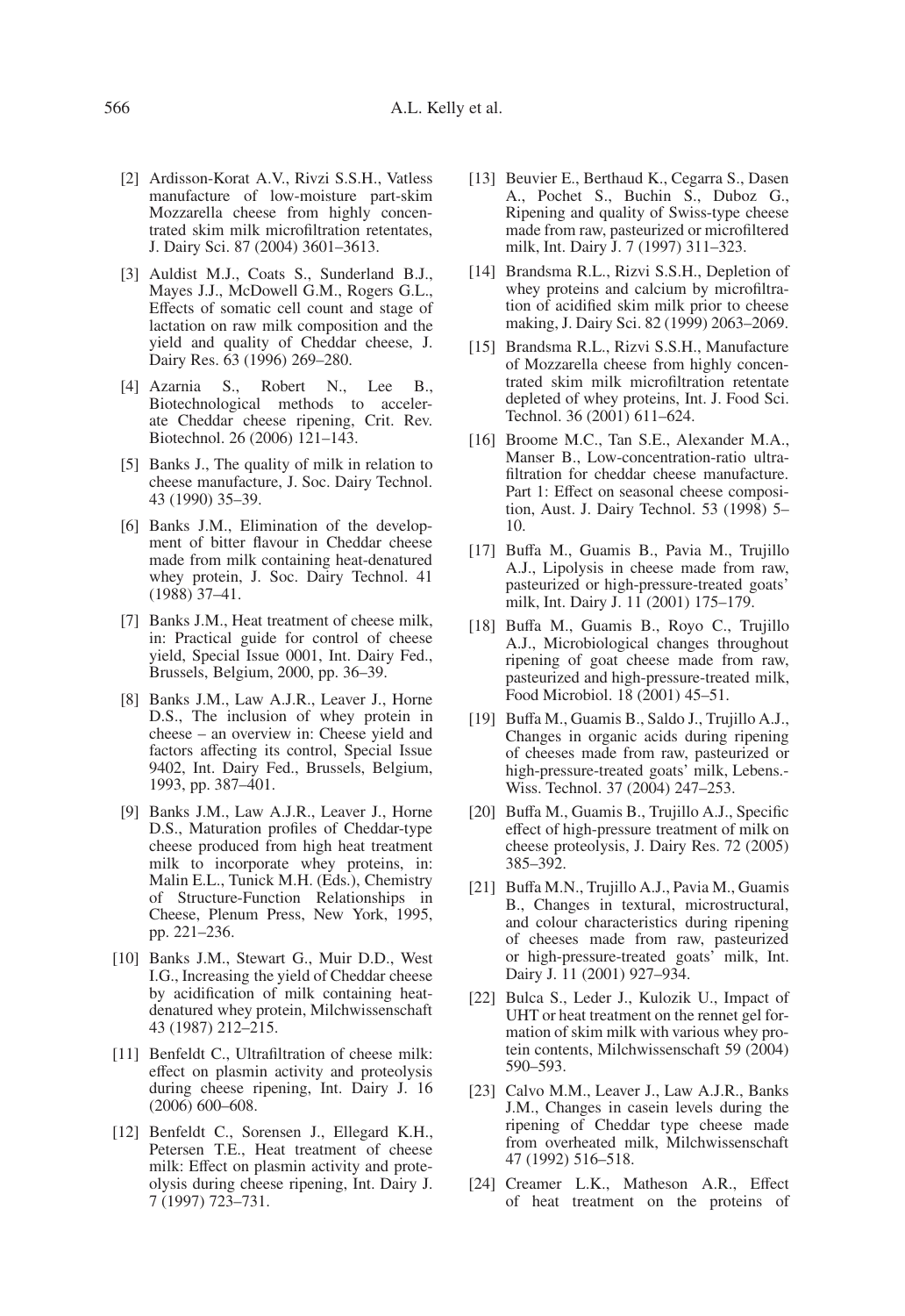- <span id="page-17-20"></span>[2] Ardisson-Korat A.V., Rivzi S.S.H., Vatless manufacture of low-moisture part-skim Mozzarella cheese from highly concentrated skim milk microfiltration retentates, J. Dairy Sci. 87 (2004) 3601–3613.
- <span id="page-17-21"></span>[3] Auldist M.J., Coats S., Sunderland B.J., Mayes J.J., McDowell G.M., Rogers G.L., Effects of somatic cell count and stage of lactation on raw milk composition and the yield and quality of Cheddar cheese, J. Dairy Res. 63 (1996) 269–280.
- <span id="page-17-22"></span>[4] Azarnia S., Robert N., Lee B., Biotechnological methods to accelerate Cheddar cheese ripening, Crit. Rev. Biotechnol. 26 (2006) 121–143.
- <span id="page-17-4"></span>[5] Banks J., The quality of milk in relation to cheese manufacture, J. Soc. Dairy Technol. 43 (1990) 35–39.
- <span id="page-17-2"></span>[6] Banks J.M., Elimination of the development of bitter flavour in Cheddar cheese made from milk containing heat-denatured whey protein, J. Soc. Dairy Technol. 41 (1988) 37–41.
- <span id="page-17-0"></span>[7] Banks J.M., Heat treatment of cheese milk, in: Practical guide for control of cheese yield, Special Issue 0001, Int. Dairy Fed., Brussels, Belgium, 2000, pp. 36–39.
- <span id="page-17-7"></span>[8] Banks J.M., Law A.J.R., Leaver J., Horne D.S., The inclusion of whey protein in cheese – an overview in: Cheese yield and factors affecting its control, Special Issue 9402, Int. Dairy Fed., Brussels, Belgium, 1993, pp. 387–401.
- <span id="page-17-3"></span>[9] Banks J.M., Law A.J.R., Leaver J., Horne D.S., Maturation profiles of Cheddar-type cheese produced from high heat treatment milk to incorporate whey proteins, in: Malin E.L., Tunick M.H. (Eds.), Chemistry of Structure-Function Relationships in Cheese, Plenum Press, New York, 1995, pp. 221–236.
- <span id="page-17-5"></span>[10] Banks J.M., Stewart G., Muir D.D., West I.G., Increasing the yield of Cheddar cheese by acidification of milk containing heatdenatured whey protein, Milchwissenschaft 43 (1987) 212–215.
- <span id="page-17-15"></span>[11] Benfeldt C., Ultrafiltration of cheese milk: effect on plasmin activity and proteolysis during cheese ripening, Int. Dairy J. 16 (2006) 600–608.
- <span id="page-17-9"></span>[12] Benfeldt C., Sorensen J., Ellegard K.H., Petersen T.E., Heat treatment of cheese milk: Effect on plasmin activity and proteolysis during cheese ripening, Int. Dairy J. 7 (1997) 723–731.
- <span id="page-17-17"></span>[13] Beuvier E., Berthaud K., Cegarra S., Dasen A., Pochet S., Buchin S., Duboz G., Ripening and quality of Swiss-type cheese made from raw, pasteurized or microfiltered milk, Int. Dairy J. 7 (1997) 311–323.
- <span id="page-17-18"></span>[14] Brandsma R.L., Rizvi S.S.H., Depletion of whey proteins and calcium by microfiltration of acidified skim milk prior to cheese making, J. Dairy Sci. 82 (1999) 2063–2069.
- <span id="page-17-19"></span>[15] Brandsma R.L., Rizvi S.S.H., Manufacture of Mozzarella cheese from highly concentrated skim milk microfiltration retentate depleted of whey proteins, Int. J. Food Sci. Technol. 36 (2001) 611–624.
- <span id="page-17-16"></span>[16] Broome M.C., Tan S.E., Alexander M.A., Manser B., Low-concentration-ratio ultrafiltration for cheddar cheese manufacture. Part 1: Effect on seasonal cheese composition, Aust. J. Dairy Technol. 53 (1998) 5– 10.
- <span id="page-17-12"></span>[17] Buffa M., Guamis B., Pavia M., Trujillo A.J., Lipolysis in cheese made from raw, pasteurized or high-pressure-treated goats' milk, Int. Dairy J. 11 (2001) 175–179.
- <span id="page-17-14"></span>[18] Buffa M., Guamis B., Royo C., Trujillo A.J., Microbiological changes throughout ripening of goat cheese made from raw, pasteurized and high-pressure-treated milk, Food Microbiol. 18 (2001) 45–51.
- <span id="page-17-11"></span>[19] Buffa M., Guamis B., Saldo J., Trujillo A.J., Changes in organic acids during ripening of cheeses made from raw, pasteurized or high-pressure-treated goats' milk, Lebens.- Wiss. Technol. 37 (2004) 247–253.
- <span id="page-17-10"></span>[20] Buffa M., Guamis B., Trujillo A.J., Specific effect of high-pressure treatment of milk on cheese proteolysis, J. Dairy Res. 72 (2005) 385–392.
- <span id="page-17-13"></span>[21] Buffa M.N., Trujillo A.J., Pavia M., Guamis B., Changes in textural, microstructural, and colour characteristics during ripening of cheeses made from raw, pasteurized or high-pressure-treated goats' milk, Int. Dairy J. 11 (2001) 927–934.
- <span id="page-17-6"></span>[22] Bulca S., Leder J., Kulozik U., Impact of UHT or heat treatment on the rennet gel formation of skim milk with various whey protein contents, Milchwissenschaft 59 (2004) 590–593.
- <span id="page-17-8"></span>[23] Calvo M.M., Leaver J., Law A.J.R., Banks J.M., Changes in casein levels during the ripening of Cheddar type cheese made from overheated milk, Milchwissenschaft 47 (1992) 516–518.
- <span id="page-17-1"></span>[24] Creamer L.K., Matheson A.R., Effect of heat treatment on the proteins of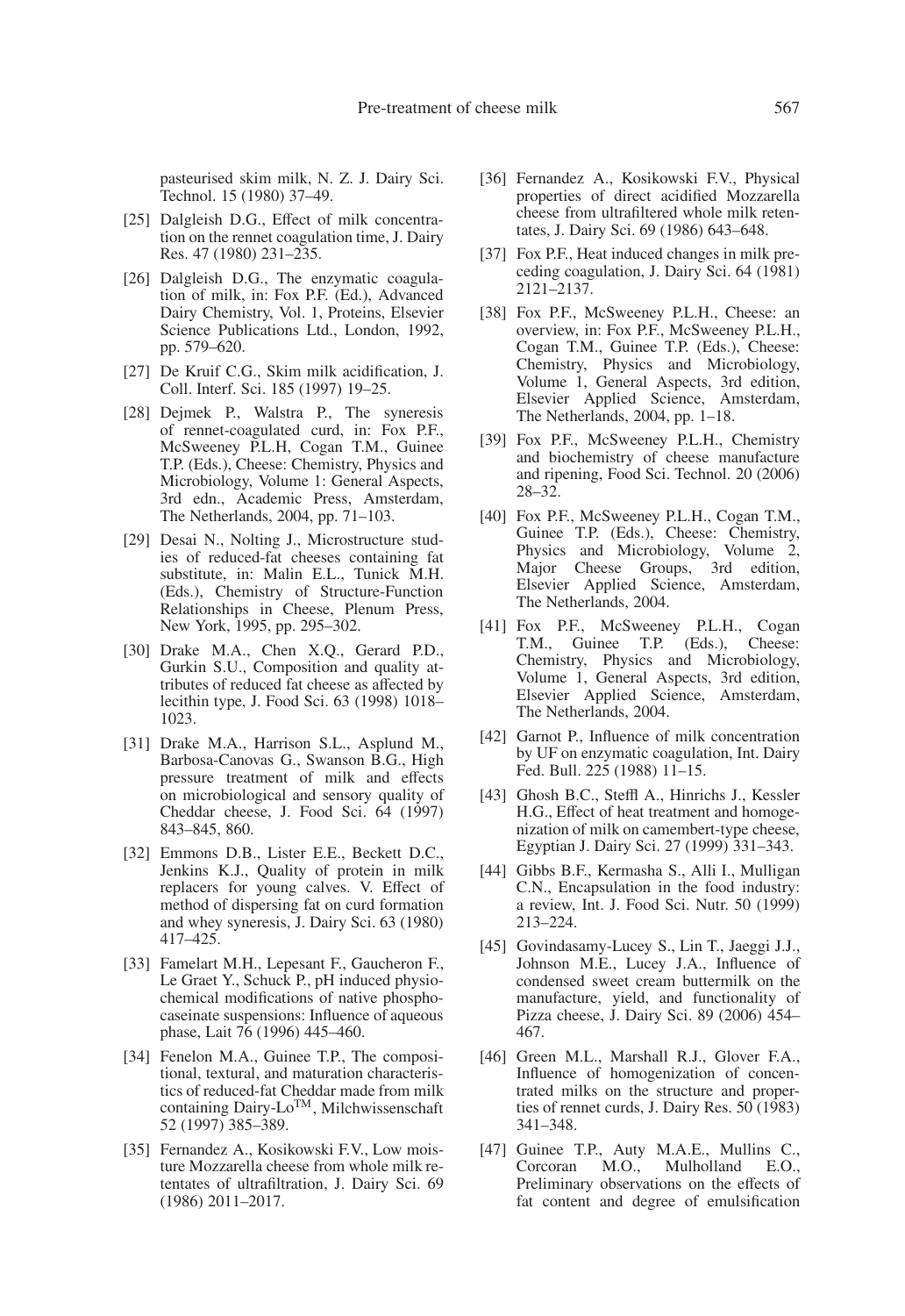pasteurised skim milk, N. Z. J. Dairy Sci. Technol. 15 (1980) 37–49.

- <span id="page-18-11"></span>[25] Dalgleish D.G., Effect of milk concentration on the rennet coagulation time, J. Dairy Res. 47 (1980) 231–235.
- <span id="page-18-3"></span>[26] Dalgleish D.G., The enzymatic coagulation of milk, in: Fox P.F. (Ed.), Advanced Dairy Chemistry, Vol. 1, Proteins, Elsevier Science Publications Ltd., London, 1992, pp. 579–620.
- <span id="page-18-9"></span>[27] De Kruif C.G., Skim milk acidification, J. Coll. Interf. Sci. 185 (1997) 19–25.
- <span id="page-18-12"></span>[28] Deimek P., Walstra P., The syneresis of rennet-coagulated curd, in: Fox P.F., McSweeney P.L.H, Cogan T.M., Guinee T.P. (Eds.), Cheese: Chemistry, Physics and Microbiology, Volume 1: General Aspects, 3rd edn., Academic Press, Amsterdam, The Netherlands, 2004, pp. 71–103.
- <span id="page-18-17"></span>[29] Desai N., Nolting J., Microstructure studies of reduced-fat cheeses containing fat substitute, in: Malin E.L., Tunick M.H. (Eds.), Chemistry of Structure-Function Relationships in Cheese, Plenum Press, New York, 1995, pp. 295–302.
- <span id="page-18-19"></span>[30] Drake M.A., Chen X.Q., Gerard P.D., Gurkin S.U., Composition and quality attributes of reduced fat cheese as affected by lecithin type, J. Food Sci. 63 (1998) 1018– 1023.
- <span id="page-18-5"></span>[31] Drake M.A., Harrison S.L., Asplund M., Barbosa-Canovas G., Swanson B.G., High pressure treatment of milk and effects on microbiological and sensory quality of Cheddar cheese, J. Food Sci. 64 (1997) 843–845, 860.
- <span id="page-18-6"></span>[32] Emmons D.B., Lister E.E., Beckett D.C., Jenkins K.J., Quality of protein in milk replacers for young calves. V. Effect of method of dispersing fat on curd formation and whey syneresis, J. Dairy Sci. 63 (1980) 417–425.
- <span id="page-18-16"></span>[33] Famelart M.H., Lepesant F., Gaucheron F., Le Graet Y., Schuck P., pH induced physiochemical modifications of native phosphocaseinate suspensions: Influence of aqueous phase, Lait 76 (1996) 445–460.
- <span id="page-18-15"></span>[34] Fenelon M.A., Guinee T.P., The compositional, textural, and maturation characteristics of reduced-fat Cheddar made from milk containing Dairy-LoTM, Milchwissenschaft 52 (1997) 385–389.
- <span id="page-18-13"></span>[35] Fernandez A., Kosikowski F.V., Low moisture Mozzarella cheese from whole milk retentates of ultrafiltration, J. Dairy Sci. 69 (1986) 2011–2017.
- <span id="page-18-14"></span>[36] Fernandez A., Kosikowski F.V., Physical properties of direct acidified Mozzarella cheese from ultrafiltered whole milk retentates, J. Dairy Sci. 69 (1986) 643–648.
- <span id="page-18-2"></span>[37] Fox P.F., Heat induced changes in milk preceding coagulation, J. Dairy Sci. 64 (1981) 2121–2137.
- <span id="page-18-0"></span>[38] Fox P.F., McSweeney P.L.H., Cheese: an overview, in: Fox P.F., McSweeney P.L.H., Cogan T.M., Guinee T.P. (Eds.), Cheese: Chemistry, Physics and Microbiology, Volume 1, General Aspects, 3rd edition, Elsevier Applied Science, Amsterdam, The Netherlands, 2004, pp. 1–18.
- [39] Fox P.F., McSweeney P.L.H., Chemistry and biochemistry of cheese manufacture and ripening, Food Sci. Technol. 20 (2006) 28–32.
- [40] Fox P.F., McSweeney P.L.H., Cogan T.M., Guinee T.P. (Eds.), Cheese: Chemistry, Physics and Microbiology, Volume 2, Major Cheese Groups, 3rd edition, Elsevier Applied Science, Amsterdam, The Netherlands, 2004.
- <span id="page-18-1"></span>[41] Fox P.F., McSweeney P.L.H., Cogan T.M., Guinee T.P. (Eds.), Cheese: Chemistry, Physics and Microbiology, Volume 1, General Aspects, 3rd edition, Elsevier Applied Science, Amsterdam, The Netherlands, 2004.
- <span id="page-18-10"></span>[42] Garnot P., Influence of milk concentration by UF on enzymatic coagulation, Int. Dairy Fed. Bull. 225 (1988) 11–15.
- <span id="page-18-4"></span>[43] Ghosh B.C., Steffl A., Hinrichs J., Kessler H.G., Effect of heat treatment and homogenization of milk on camembert-type cheese, Egyptian J. Dairy Sci. 27 (1999) 331–343.
- <span id="page-18-18"></span>[44] Gibbs B.F., Kermasha S., Alli I., Mulligan C.N., Encapsulation in the food industry: a review, Int. J. Food Sci. Nutr. 50 (1999) 213–224.
- <span id="page-18-20"></span>[45] Govindasamy-Lucey S., Lin T., Jaeggi J.J., Johnson M.E., Lucey J.A., Influence of condensed sweet cream buttermilk on the manufacture, yield, and functionality of Pizza cheese, J. Dairy Sci. 89 (2006) 454– 467.
- <span id="page-18-7"></span>[46] Green M.L., Marshall R.J., Glover F.A., Influence of homogenization of concentrated milks on the structure and properties of rennet curds, J. Dairy Res. 50 (1983) 341–348.
- <span id="page-18-8"></span>[47] Guinee T.P., Auty M.A.E., Mullins C., Corcoran M.O., Mulholland E.O., Preliminary observations on the effects of fat content and degree of emulsification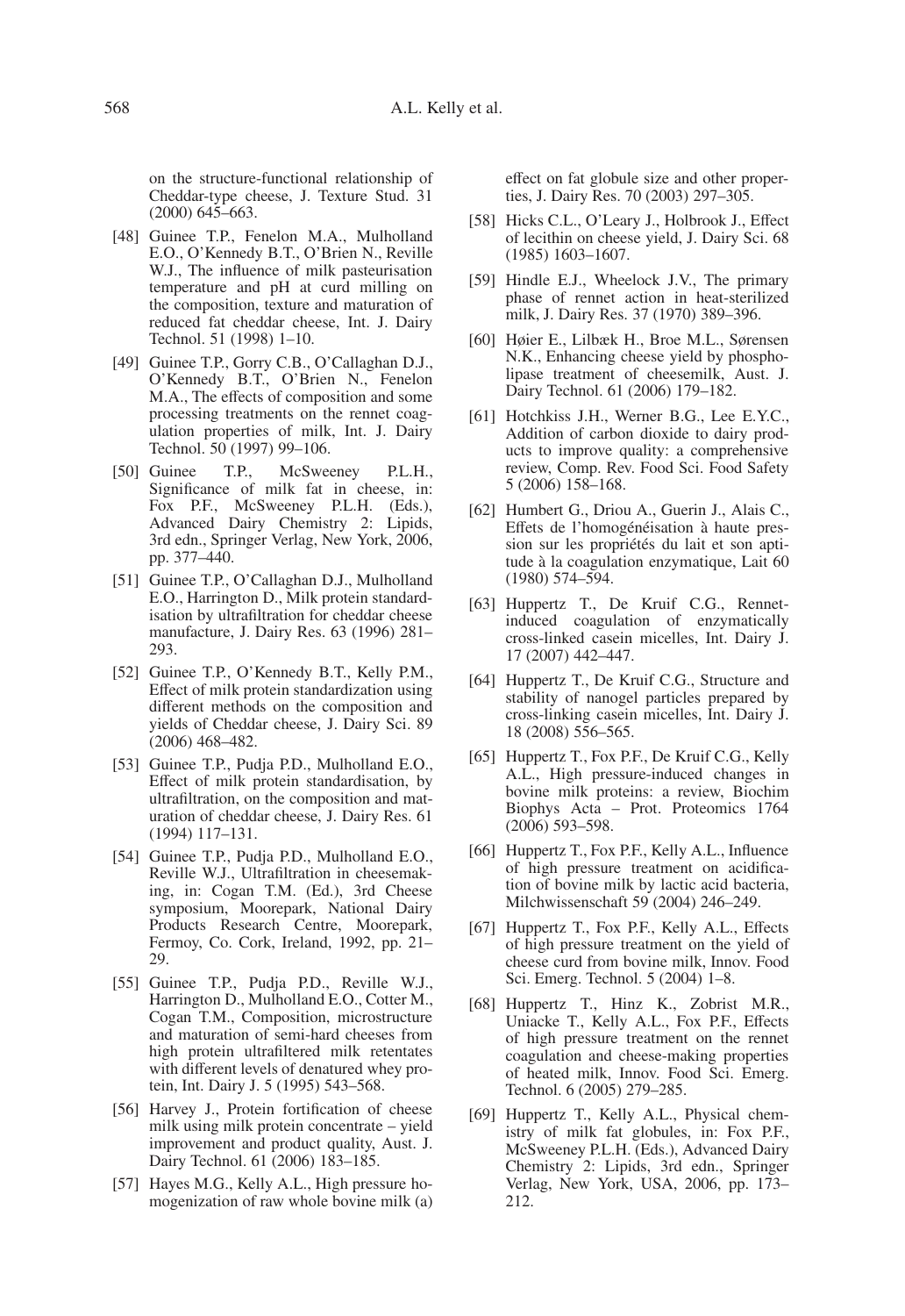on the structure-functional relationship of Cheddar-type cheese, J. Texture Stud. 31 (2000) 645–663.

- <span id="page-19-2"></span>[48] Guinee T.P., Fenelon M.A., Mulholland E.O., O'Kennedy B.T., O'Brien N., Reville W.J., The influence of milk pasteurisation temperature and pH at curd milling on the composition, texture and maturation of reduced fat cheddar cheese, Int. J. Dairy Technol. 51 (1998) 1–10.
- <span id="page-19-17"></span>[49] Guinee T.P., Gorry C.B., O'Callaghan D.J., O'Kennedy B.T., O'Brien N., Fenelon M.A., The effects of composition and some processing treatments on the rennet coagulation properties of milk, Int. J. Dairy Technol. 50 (1997) 99–106.
- <span id="page-19-12"></span>[50] Guinee T.P., McSweeney P.L.H., Significance of milk fat in cheese, in: Fox P.F., McSweeney P.L.H. (Eds.), Advanced Dairy Chemistry 2: Lipids, 3rd edn., Springer Verlag, New York, 2006, pp. 377–440.
- <span id="page-19-13"></span>[51] Guinee T.P., O'Callaghan D.J., Mulholland E.O., Harrington D., Milk protein standardisation by ultrafiltration for cheddar cheese manufacture, J. Dairy Res. 63 (1996) 281– 293.
- <span id="page-19-15"></span>[52] Guinee T.P., O'Kennedy B.T., Kelly P.M., Effect of milk protein standardization using different methods on the composition and yields of Cheddar cheese, J. Dairy Sci. 89 (2006) 468–482.
- <span id="page-19-14"></span>[53] Guinee T.P., Pudja P.D., Mulholland E.O., Effect of milk protein standardisation, by ultrafiltration, on the composition and maturation of cheddar cheese, J. Dairy Res. 61 (1994) 117–131.
- <span id="page-19-3"></span>[54] Guinee T.P., Pudja P.D., Mulholland E.O., Reville W.J., Ultrafiltration in cheesemaking, in: Cogan T.M. (Ed.), 3rd Cheese symposium, Moorepark, National Dairy Products Research Centre, Moorepark, Fermoy, Co. Cork, Ireland, 1992, pp. 21– 29.
- <span id="page-19-0"></span>[55] Guinee T.P., Pudja P.D., Reville W.J., Harrington D., Mulholland E.O., Cotter M., Cogan T.M., Composition, microstructure and maturation of semi-hard cheeses from high protein ultrafiltered milk retentates with different levels of denatured whey protein, Int. Dairy J. 5 (1995) 543–568.
- <span id="page-19-16"></span>[56] Harvey J., Protein fortification of cheese milk using milk protein concentrate – yield improvement and product quality, Aust. J. Dairy Technol. 61 (2006) 183–185.
- <span id="page-19-10"></span>[57] Hayes M.G., Kelly A.L., High pressure homogenization of raw whole bovine milk (a)

effect on fat globule size and other properties, J. Dairy Res. 70 (2003) 297–305.

- <span id="page-19-19"></span>[58] Hicks C.L., O'Leary J., Holbrook J., Effect of lecithin on cheese yield, J. Dairy Sci. 68 (1985) 1603–1607.
- <span id="page-19-1"></span>[59] Hindle E.J., Wheelock J.V., The primary phase of rennet action in heat-sterilized milk, J. Dairy Res. 37 (1970) 389–396.
- <span id="page-19-18"></span>[60] Høier E., Lilbæk H., Broe M.L., Sørensen N.K., Enhancing cheese yield by phospholipase treatment of cheesemilk, Aust. J. Dairy Technol. 61 (2006) 179–182.
- <span id="page-19-4"></span>[61] Hotchkiss J.H., Werner B.G., Lee E.Y.C., Addition of carbon dioxide to dairy products to improve quality: a comprehensive review, Comp. Rev. Food Sci. Food Safety 5 (2006) 158–168.
- <span id="page-19-11"></span>[62] Humbert G., Driou A., Guerin J., Alais C., Effets de l'homogénéisation à haute pression sur les propriétés du lait et son aptitude à la coagulation enzymatique, Lait 60 (1980) 574–594.
- <span id="page-19-21"></span>[63] Huppertz T., De Kruif C.G., Rennetinduced coagulation of enzymatically cross-linked casein micelles, Int. Dairy J. 17 (2007) 442–447.
- <span id="page-19-20"></span>[64] Huppertz T., De Kruif C.G., Structure and stability of nanogel particles prepared by cross-linking casein micelles, Int. Dairy J. 18 (2008) 556–565.
- <span id="page-19-5"></span>[65] Huppertz T., Fox P.F., De Kruif C.G., Kelly A.L., High pressure-induced changes in bovine milk proteins: a review, Biochim Biophys Acta – Prot. Proteomics 1764 (2006) 593–598.
- <span id="page-19-8"></span>[66] Huppertz T., Fox P.F., Kelly A.L., Influence of high pressure treatment on acidification of bovine milk by lactic acid bacteria, Milchwissenschaft 59 (2004) 246–249.
- <span id="page-19-6"></span>[67] Huppertz T., Fox P.F., Kelly A.L., Effects of high pressure treatment on the yield of cheese curd from bovine milk, Innov. Food Sci. Emerg. Technol. 5 (2004) 1–8.
- <span id="page-19-7"></span>[68] Huppertz T., Hinz K., Zobrist M.R., Uniacke T., Kelly A.L., Fox P.F., Effects of high pressure treatment on the rennet coagulation and cheese-making properties of heated milk, Innov. Food Sci. Emerg. Technol. 6 (2005) 279–285.
- <span id="page-19-9"></span>[69] Huppertz T., Kelly A.L., Physical chemistry of milk fat globules, in: Fox P.F., McSweeney P.L.H. (Eds.), Advanced Dairy Chemistry 2: Lipids, 3rd edn., Springer Verlag, New York, USA, 2006, pp. 173– 212.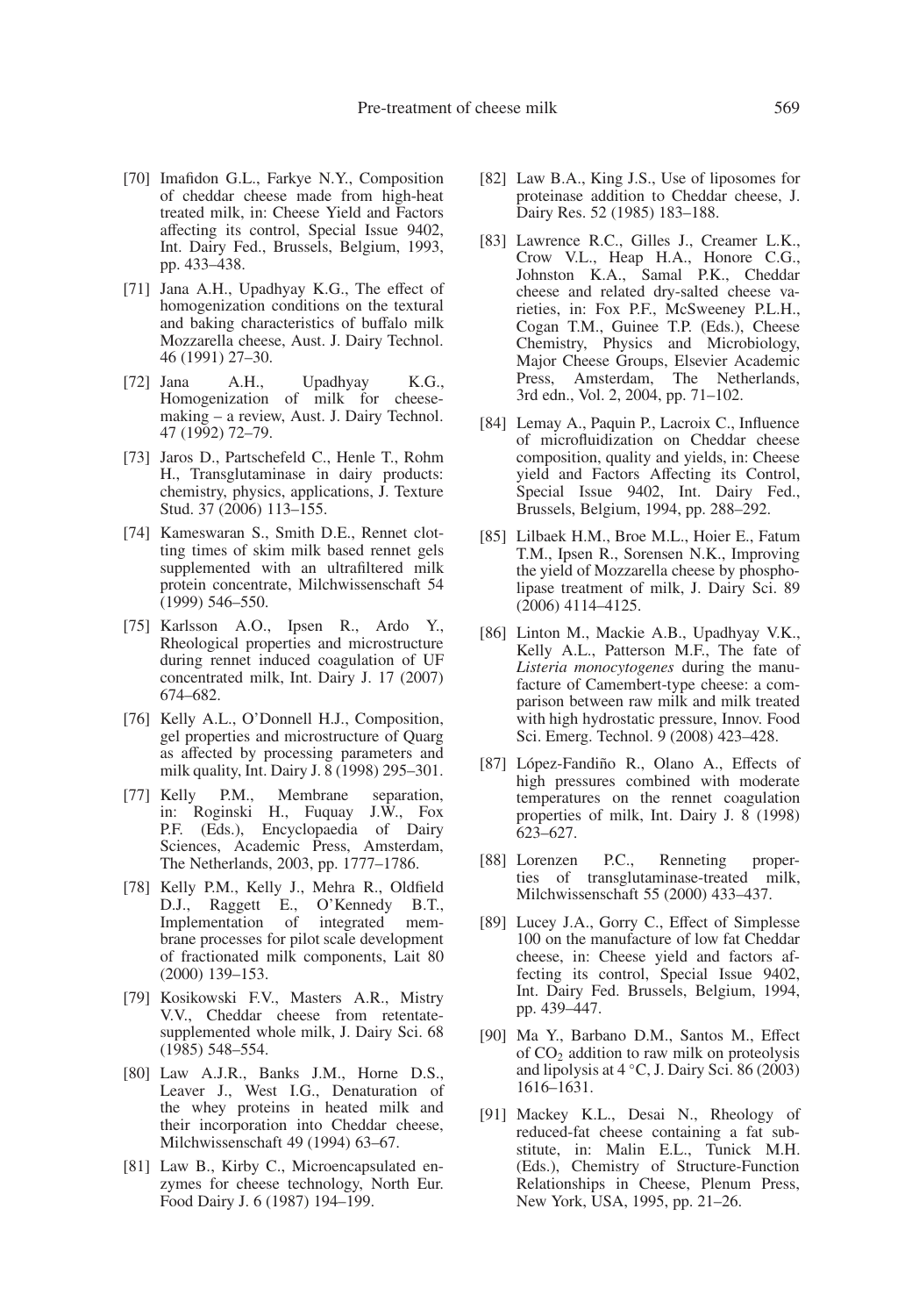- <span id="page-20-1"></span>[70] Imafidon G.L., Farkye N.Y., Composition of cheddar cheese made from high-heat treated milk, in: Cheese Yield and Factors affecting its control, Special Issue 9402, Int. Dairy Fed., Brussels, Belgium, 1993, pp. 433–438.
- <span id="page-20-6"></span>[71] Jana A.H., Upadhyay K.G., The effect of homogenization conditions on the textural and baking characteristics of buffalo milk Mozzarella cheese, Aust. J. Dairy Technol. 46 (1991) 27–30.
- <span id="page-20-7"></span>[72] Jana A.H., Upadhyay K.G., Homogenization of milk for cheesemaking – a review, Aust. J. Dairy Technol. 47 (1992) 72–79.
- <span id="page-20-20"></span>[73] Jaros D., Partschefeld C., Henle T., Rohm H., Transglutaminase in dairy products: chemistry, physics, applications, J. Texture Stud. 37 (2006) 113–155.
- <span id="page-20-13"></span>[74] Kameswaran S., Smith D.E., Rennet clotting times of skim milk based rennet gels supplemented with an ultrafiltered milk protein concentrate, Milchwissenschaft 54 (1999) 546–550.
- <span id="page-20-10"></span>[75] Karlsson A.O., Ipsen R., Ardo Y., Rheological properties and microstructure during rennet induced coagulation of UF concentrated milk, Int. Dairy J. 17 (2007) 674–682.
- <span id="page-20-2"></span>[76] Kelly A.L., O'Donnell H.J., Composition, gel properties and microstructure of Quarg as affected by processing parameters and milk quality, Int. Dairy J. 8 (1998) 295–301.
- <span id="page-20-9"></span>[77] Kelly P.M., Membrane separation, in: Roginski H., Fuquay J.W., Fox P.F. (Eds.), Encyclopaedia of Dairy Sciences, Academic Press, Amsterdam, The Netherlands, 2003, pp. 1777–1786.
- <span id="page-20-14"></span>[78] Kelly P.M., Kelly J., Mehra R., Oldfield D.J., Raggett E., O'Kennedy B.T., Implementation of integrated membrane processes for pilot scale development of fractionated milk components, Lait 80 (2000) 139–153.
- <span id="page-20-11"></span>[79] Kosikowski F.V., Masters A.R., Mistry V.V., Cheddar cheese from retentatesupplemented whole milk, J. Dairy Sci. 68 (1985) 548–554.
- <span id="page-20-0"></span>[80] Law A.J.R., Banks J.M., Horne D.S., Leaver J., West I.G., Denaturation of the whey proteins in heated milk and their incorporation into Cheddar cheese, Milchwissenschaft 49 (1994) 63–67.
- <span id="page-20-17"></span>[81] Law B., Kirby C., Microencapsulated enzymes for cheese technology, North Eur. Food Dairy J. 6 (1987) 194–199.
- <span id="page-20-18"></span>[82] Law B.A., King J.S., Use of liposomes for proteinase addition to Cheddar cheese, J. Dairy Res. 52 (1985) 183–188.
- <span id="page-20-12"></span>[83] Lawrence R.C., Gilles J., Creamer L.K., Crow V.L., Heap H.A., Honore C.G., Johnston K.A., Samal P.K., Cheddar cheese and related dry-salted cheese varieties, in: Fox P.F., McSweeney P.L.H., Cogan T.M., Guinee T.P. (Eds.), Cheese Chemistry, Physics and Microbiology, Major Cheese Groups, Elsevier Academic Press, Amsterdam, The Netherlands, 3rd edn., Vol. 2, 2004, pp. 71–102.
- <span id="page-20-8"></span>[84] Lemay A., Paquin P., Lacroix C., Influence of microfluidization on Cheddar cheese composition, quality and yields, in: Cheese yield and Factors Affecting its Control, Special Issue 9402, Int. Dairy Fed., Brussels, Belgium, 1994, pp. 288–292.
- <span id="page-20-19"></span>[85] Lilbaek H.M., Broe M.L., Hoier E., Fatum T.M., Ipsen R., Sorensen N.K., Improving the yield of Mozzarella cheese by phospholipase treatment of milk, J. Dairy Sci. 89 (2006) 4114–4125.
- <span id="page-20-5"></span>[86] Linton M., Mackie A.B., Upadhyay V.K., Kelly A.L., Patterson M.F., The fate of *Listeria monocytogenes* during the manufacture of Camembert-type cheese: a comparison between raw milk and milk treated with high hydrostatic pressure, Innov. Food Sci. Emerg. Technol. 9 (2008) 423–428.
- <span id="page-20-4"></span>[87] López-Fandiño R., Olano A., Effects of high pressures combined with moderate temperatures on the rennet coagulation properties of milk, Int. Dairy J. 8 (1998) 623–627.
- <span id="page-20-21"></span>[88] Lorenzen P.C., Renneting proper-<br>ties of transglutaminase-treated milk. ties of transglutaminase-treated Milchwissenschaft 55 (2000) 433–437.
- <span id="page-20-16"></span>[89] Lucey J.A., Gorry C., Effect of Simplesse 100 on the manufacture of low fat Cheddar cheese, in: Cheese yield and factors affecting its control, Special Issue 9402, Int. Dairy Fed. Brussels, Belgium, 1994, pp. 439–447.
- <span id="page-20-3"></span>[90] Ma Y., Barbano D.M., Santos M., Effect of  $CO<sub>2</sub>$  addition to raw milk on proteolysis and lipolysis at  $4 °C$ , J. Dairy Sci. 86 (2003) 1616–1631.
- <span id="page-20-15"></span>[91] Mackey K.L., Desai N., Rheology of reduced-fat cheese containing a fat substitute, in: Malin E.L., Tunick M.H. (Eds.), Chemistry of Structure-Function Relationships in Cheese, Plenum Press, New York, USA, 1995, pp. 21–26.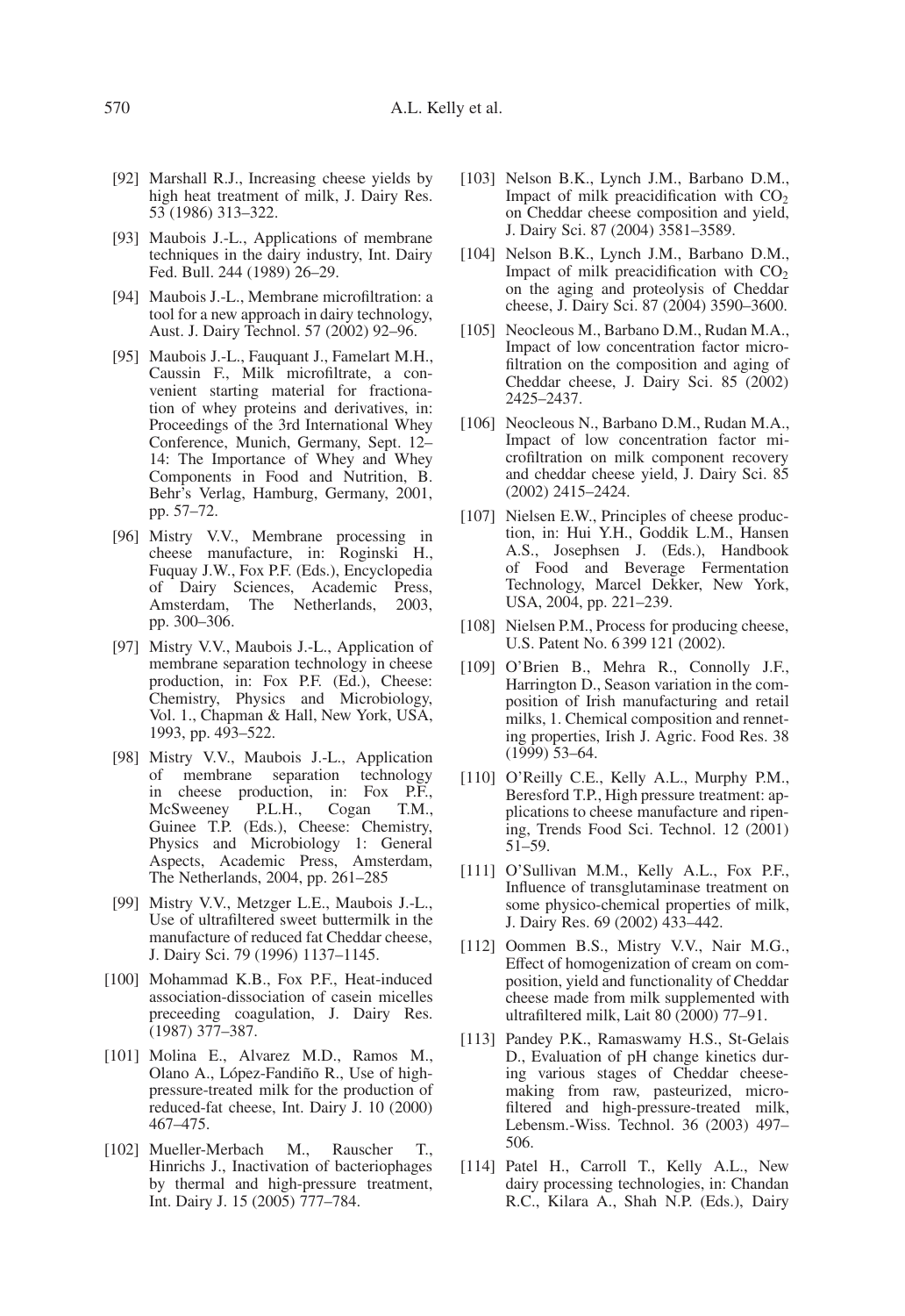- <span id="page-21-1"></span>[92] Marshall R.J., Increasing cheese yields by high heat treatment of milk, J. Dairy Res. 53 (1986) 313–322.
- <span id="page-21-10"></span>[93] Maubois J.-L., Applications of membrane techniques in the dairy industry, Int. Dairy Fed. Bull. 244 (1989) 26–29.
- <span id="page-21-11"></span>[94] Maubois J.-L., Membrane microfiltration: a tool for a new approach in dairy technology, Aust. J. Dairy Technol. 57 (2002) 92–96.
- <span id="page-21-16"></span>[95] Maubois J.-L., Fauquant J., Famelart M.H., Caussin F., Milk microfiltrate, a convenient starting material for fractionation of whey proteins and derivatives, in: Proceedings of the 3rd International Whey Conference, Munich, Germany, Sept. 12– 14: The Importance of Whey and Whey Components in Food and Nutrition, B. Behr's Verlag, Hamburg, Germany, 2001, pp. 57–72.
- <span id="page-21-12"></span>[96] Mistry V.V., Membrane processing in cheese manufacture, in: Roginski H., Fuquay J.W., Fox P.F. (Eds.), Encyclopedia of Dairy Sciences, Academic Press,<br>Amsterdam, The Netherlands, 2003, The Netherlands, pp. 300–306.
- <span id="page-21-14"></span>[97] Mistry V.V., Maubois J.-L., Application of membrane separation technology in cheese production, in: Fox P.F. (Ed.), Cheese: Chemistry, Physics and Microbiology, Vol. 1., Chapman & Hall, New York, USA, 1993, pp. 493–522.
- <span id="page-21-13"></span>[98] Mistry V.V., Maubois J.-L., Application of membrane separation technology in cheese production, in: Fox P.F.,<br>McSweeney P.L.H., Cogan T.M., McSweeney Guinee T.P. (Eds.), Cheese: Chemistry, Physics and Microbiology 1: General Aspects, Academic Press, Amsterdam, The Netherlands, 2004, pp. 261–285
- <span id="page-21-21"></span>[99] Mistry V.V., Metzger L.E., Maubois J.-L., Use of ultrafiltered sweet buttermilk in the manufacture of reduced fat Cheddar cheese, J. Dairy Sci. 79 (1996) 1137–1145.
- <span id="page-21-0"></span>[100] Mohammad K.B., Fox P.F., Heat-induced association-dissociation of casein micelles preceeding coagulation, J. Dairy Res. (1987) 377–387.
- <span id="page-21-6"></span>[101] Molina E., Alvarez M.D., Ramos M., Olano A., López-Fandiño R., Use of highpressure-treated milk for the production of reduced-fat cheese, Int. Dairy J. 10 (2000) 467–475.
- <span id="page-21-7"></span>[102] Mueller-Merbach M., Rauscher T., Hinrichs J., Inactivation of bacteriophages by thermal and high-pressure treatment, Int. Dairy J. 15 (2005) 777–784.
- <span id="page-21-2"></span>[103] Nelson B.K., Lynch J.M., Barbano D.M., Impact of milk preacidification with  $CO<sub>2</sub>$ on Cheddar cheese composition and yield, J. Dairy Sci. 87 (2004) 3581–3589.
- <span id="page-21-3"></span>[104] Nelson B.K., Lynch J.M., Barbano D.M., Impact of milk preacidification with  $CO<sub>2</sub>$ on the aging and proteolysis of Cheddar cheese, J. Dairy Sci. 87 (2004) 3590–3600.
- <span id="page-21-15"></span>[105] Neocleous M., Barbano D.M., Rudan M.A., Impact of low concentration factor microfiltration on the composition and aging of Cheddar cheese, J. Dairy Sci. 85 (2002) 2425–2437.
- <span id="page-21-17"></span>[106] Neocleous N., Barbano D.M., Rudan M.A., Impact of low concentration factor microfiltration on milk component recovery and cheddar cheese yield, J. Dairy Sci. 85 (2002) 2415–2424.
- <span id="page-21-19"></span>[107] Nielsen E.W., Principles of cheese production, in: Hui Y.H., Goddik L.M., Hansen A.S., Josephsen J. (Eds.), Handbook of Food and Beverage Fermentation Technology, Marcel Dekker, New York, USA, 2004, pp. 221–239.
- <span id="page-21-20"></span>[108] Nielsen P.M., Process for producing cheese, U.S. Patent No. 6 399 121 (2002).
- <span id="page-21-18"></span>[109] O'Brien B., Mehra R., Connolly J.F., Harrington D., Season variation in the composition of Irish manufacturing and retail milks, 1. Chemical composition and renneting properties, Irish J. Agric. Food Res. 38 (1999) 53–64.
- <span id="page-21-5"></span>[110] O'Reilly C.E., Kelly A.L., Murphy P.M., Beresford T.P., High pressure treatment: applications to cheese manufacture and ripening, Trends Food Sci. Technol. 12 (2001) 51–59.
- <span id="page-21-22"></span>[111] O'Sullivan M.M., Kelly A.L., Fox P.F., Influence of transglutaminase treatment on some physico-chemical properties of milk, J. Dairy Res. 69 (2002) 433–442.
- <span id="page-21-9"></span>[112] Oommen B.S., Mistry V.V., Nair M.G., Effect of homogenization of cream on composition, yield and functionality of Cheddar cheese made from milk supplemented with ultrafiltered milk, Lait 80 (2000) 77–91.
- <span id="page-21-4"></span>[113] Pandey P.K., Ramaswamy H.S., St-Gelais D., Evaluation of pH change kinetics during various stages of Cheddar cheesemaking from raw, pasteurized, microfiltered and high-pressure-treated milk, Lebensm.-Wiss. Technol. 36 (2003) 497– 506.
- <span id="page-21-8"></span>[114] Patel H., Carroll T., Kelly A.L., New dairy processing technologies, in: Chandan R.C., Kilara A., Shah N.P. (Eds.), Dairy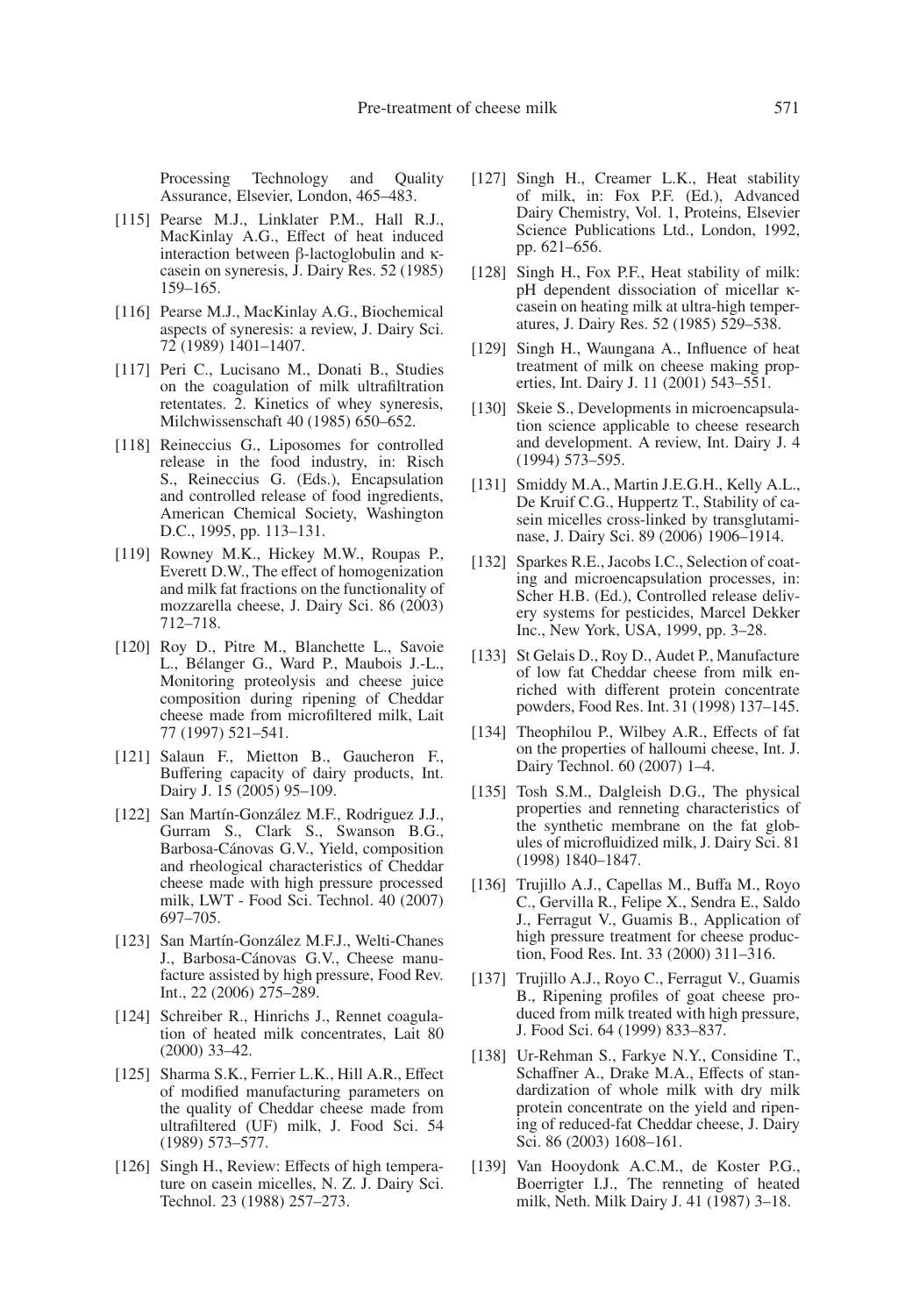Processing Technology and Quality Assurance, Elsevier, London, 465–483.

- <span id="page-22-3"></span>[115] Pearse M.J., Linklater P.M., Hall R.J., MacKinlay A.G., Effect of heat induced interaction between β-lactoglobulin and κcasein on syneresis, J. Dairy Res. 52 (1985) 159–165.
- <span id="page-22-11"></span>[116] Pearse M.J., MacKinlay A.G., Biochemical aspects of syneresis: a review, J. Dairy Sci. 72 (1989) 1401–1407.
- <span id="page-22-13"></span>[117] Peri C., Lucisano M., Donati B., Studies on the coagulation of milk ultrafiltration retentates. 2. Kinetics of whey syneresis, Milchwissenschaft 40 (1985) 650–652.
- <span id="page-22-20"></span>[118] Reineccius G., Liposomes for controlled release in the food industry, in: Risch S., Reineccius G. (Eds.), Encapsulation and controlled release of food ingredients, American Chemical Society, Washington D.C., 1995, pp. 113–131.
- <span id="page-22-9"></span>[119] Rowney M.K., Hickey M.W., Roupas P., Everett D.W., The effect of homogenization and milk fat fractions on the functionality of mozzarella cheese, J. Dairy Sci. 86 (2003) 712–718.
- <span id="page-22-15"></span>[120] Roy D., Pitre M., Blanchette L., Savoie L., Bélanger G., Ward P., Maubois J.-L., Monitoring proteolysis and cheese juice composition during ripening of Cheddar cheese made from microfiltered milk, Lait 77 (1997) 521–541.
- <span id="page-22-12"></span>[121] Salaun F., Mietton B., Gaucheron F., Buffering capacity of dairy products, Int. Dairy J. 15 (2005) 95–109.
- <span id="page-22-7"></span>[122] San Martín-González M.F., Rodriguez J.J., Gurram S., Clark S., Swanson B.G., Barbosa-Cánovas G.V., Yield, composition and rheological characteristics of Cheddar cheese made with high pressure processed milk, LWT - Food Sci. Technol. 40 (2007) 697–705.
- <span id="page-22-5"></span>[123] San Martín-González M.F.J., Welti-Chanes J., Barbosa-Cánovas G.V., Cheese manufacture assisted by high pressure, Food Rev. Int., 22 (2006) 275–289.
- <span id="page-22-0"></span>[124] Schreiber R., Hinrichs J., Rennet coagulation of heated milk concentrates, Lait 80 (2000) 33–42.
- <span id="page-22-14"></span>[125] Sharma S.K., Ferrier L.K., Hill A.R., Effect of modified manufacturing parameters on the quality of Cheddar cheese made from ultrafiltered (UF) milk, J. Food Sci. 54 (1989) 573–577.
- <span id="page-22-1"></span>[126] Singh H., Review: Effects of high temperature on casein micelles, N. Z. J. Dairy Sci. Technol. 23 (1988) 257–273.
- [127] Singh H., Creamer L.K., Heat stability of milk, in: Fox P.F. (Ed.), Advanced Dairy Chemistry, Vol. 1, Proteins, Elsevier Science Publications Ltd., London, 1992, pp. 621–656.
- [128] Singh H., Fox P.F., Heat stability of milk: pH dependent dissociation of micellar κcasein on heating milk at ultra-high temperatures, J. Dairy Res. 52 (1985) 529–538.
- <span id="page-22-2"></span>[129] Singh H., Waungana A., Influence of heat treatment of milk on cheese making properties, Int. Dairy J. 11 (2001) 543–551.
- <span id="page-22-21"></span>[130] Skeie S., Developments in microencapsulation science applicable to cheese research and development. A review, Int. Dairy J. 4 (1994) 573–595.
- <span id="page-22-22"></span>[131] Smiddy M.A., Martin J.E.G.H., Kelly A.L., De Kruif C.G., Huppertz T., Stability of casein micelles cross-linked by transglutaminase, J. Dairy Sci. 89 (2006) 1906–1914.
- <span id="page-22-19"></span>[132] Sparkes R.E., Jacobs I.C., Selection of coating and microencapsulation processes, in: Scher H.B. (Ed.), Controlled release delivery systems for pesticides, Marcel Dekker Inc., New York, USA, 1999, pp. 3–28.
- <span id="page-22-16"></span>[133] St Gelais D., Roy D., Audet P., Manufacture of low fat Cheddar cheese from milk enriched with different protein concentrate powders, Food Res. Int. 31 (1998) 137–145.
- <span id="page-22-17"></span>[134] Theophilou P., Wilbey A.R., Effects of fat on the properties of halloumi cheese, Int. J. Dairy Technol. 60 (2007) 1–4.
- <span id="page-22-10"></span>[135] Tosh S.M., Dalgleish D.G., The physical properties and renneting characteristics of the synthetic membrane on the fat globules of microfluidized milk, J. Dairy Sci. 81 (1998) 1840–1847.
- <span id="page-22-6"></span>[136] Trujillo A.J., Capellas M., Buffa M., Royo C., Gervilla R., Felipe X., Sendra E., Saldo J., Ferragut V., Guamis B., Application of high pressure treatment for cheese production, Food Res. Int. 33 (2000) 311–316.
- <span id="page-22-8"></span>[137] Trujillo A.J., Royo C., Ferragut V., Guamis B., Ripening profiles of goat cheese produced from milk treated with high pressure, J. Food Sci. 64 (1999) 833–837.
- <span id="page-22-18"></span>[138] Ur-Rehman S., Farkye N.Y., Considine T., Schaffner A., Drake M.A., Effects of standardization of whole milk with dry milk protein concentrate on the yield and ripening of reduced-fat Cheddar cheese, J. Dairy Sci. 86 (2003) 1608–161.
- <span id="page-22-4"></span>[139] Van Hooydonk A.C.M., de Koster P.G., Boerrigter I.J., The renneting of heated milk, Neth. Milk Dairy J. 41 (1987) 3–18.